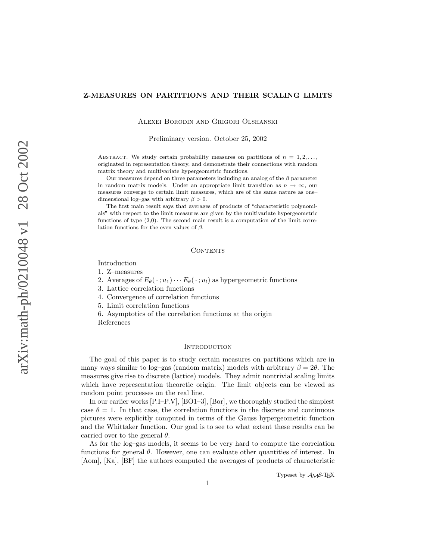## Z-MEASURES ON PARTITIONS AND THEIR SCALING LIMITS

Alexei Borodin and Grigori Olshanski

Preliminary version. October 25, 2002

ABSTRACT. We study certain probability measures on partitions of  $n = 1, 2, \ldots$ originated in representation theory, and demonstrate their connections with random matrix theory and multivariate hypergeometric functions.

Our measures depend on three parameters including an analog of the  $\beta$  parameter in random matrix models. Under an appropriate limit transition as  $n \to \infty$ , our measures converge to certain limit measures, which are of the same nature as one– dimensional log–gas with arbitrary  $\beta > 0$ .

The first main result says that averages of products of "characteristic polynomials" with respect to the limit measures are given by the multivariate hypergeometric functions of type (2,0). The second main result is a computation of the limit correlation functions for the even values of  $\beta$ .

#### **CONTENTS**

Introduction

1. Z–measures

2. Averages of  $E_{\theta}(\cdot; u_1) \cdots E_{\theta}(\cdot; u_l)$  as hypergeometric functions

3. Lattice correlation functions

4. Convergence of correlation functions

5. Limit correlation functions

6. Asymptotics of the correlation functions at the origin References

### **INTRODUCTION**

The goal of this paper is to study certain measures on partitions which are in many ways similar to log–gas (random matrix) models with arbitrary  $\beta = 2\theta$ . The measures give rise to discrete (lattice) models. They admit nontrivial scaling limits which have representation theoretic origin. The limit objects can be viewed as random point processes on the real line.

In our earlier works [P.I–P.V], [BO1–3], [Bor], we thoroughly studied the simplest case  $\theta = 1$ . In that case, the correlation functions in the discrete and continuous pictures were explicitly computed in terms of the Gauss hypergeometric function and the Whittaker function. Our goal is to see to what extent these results can be carried over to the general  $\theta$ .

As for the log–gas models, it seems to be very hard to compute the correlation functions for general  $\theta$ . However, one can evaluate other quantities of interest. In [Aom], [Ka], [BF] the authors computed the averages of products of characteristic

Typeset by AMS-TEX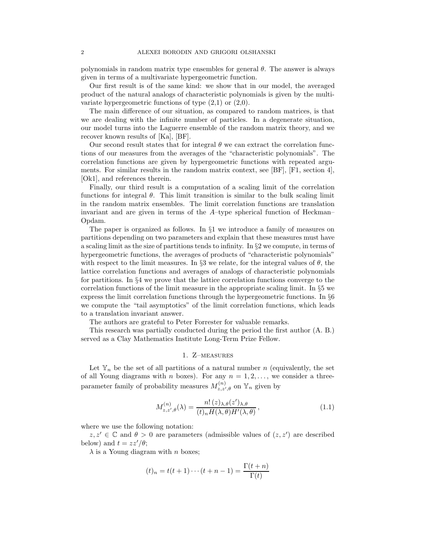polynomials in random matrix type ensembles for general  $\theta$ . The answer is always given in terms of a multivariate hypergeometric function.

Our first result is of the same kind: we show that in our model, the averaged product of the natural analogs of characteristic polynomials is given by the multivariate hypergeometric functions of type  $(2,1)$  or  $(2,0)$ .

The main difference of our situation, as compared to random matrices, is that we are dealing with the infinite number of particles. In a degenerate situation, our model turns into the Laguerre ensemble of the random matrix theory, and we recover known results of [Ka], [BF].

Our second result states that for integral  $\theta$  we can extract the correlation functions of our measures from the averages of the "characteristic polynomials". The correlation functions are given by hypergeometric functions with repeated arguments. For similar results in the random matrix context, see [BF], [F1, section 4], [Ok1], and references therein.

Finally, our third result is a computation of a scaling limit of the correlation functions for integral  $\theta$ . This limit transition is similar to the bulk scaling limit in the random matrix ensembles. The limit correlation functions are translation invariant and are given in terms of the A–type spherical function of Heckman– Opdam.

The paper is organized as follows. In §1 we introduce a family of measures on partitions depending on two parameters and explain that these measures must have a scaling limit as the size of partitions tends to infinity. In  $\S 2$  we compute, in terms of hypergeometric functions, the averages of products of "characteristic polynomials" with respect to the limit measures. In §3 we relate, for the integral values of  $\theta$ , the lattice correlation functions and averages of analogs of characteristic polynomials for partitions. In §4 we prove that the lattice correlation functions converge to the correlation functions of the limit measure in the appropriate scaling limit. In §5 we express the limit correlation functions through the hypergeometric functions. In §6 we compute the "tail asymptotics" of the limit correlation functions, which leads to a translation invariant answer.

The authors are grateful to Peter Forrester for valuable remarks.

This research was partially conducted during the period the first author (A. B.) served as a Clay Mathematics Institute Long-Term Prize Fellow.

### 1. Z–measures

Let  $\mathbb{Y}_n$  be the set of all partitions of a natural number n (equivalently, the set of all Young diagrams with n boxes). For any  $n = 1, 2, \ldots$ , we consider a threeparameter family of probability measures  $M_{z,z',\theta}^{(n)}$  on  $\mathbb{Y}_n$  given by

$$
M_{z,z',\theta}^{(n)}(\lambda) = \frac{n! \,(z)_{\lambda,\theta}(z')_{\lambda,\theta}}{(t)_n H(\lambda,\theta) H'(\lambda,\theta)},\tag{1.1}
$$

where we use the following notation:

 $z, z' \in \mathbb{C}$  and  $\theta > 0$  are parameters (admissible values of  $(z, z')$  are described below) and  $t = zz'/\theta$ ;

 $\lambda$  is a Young diagram with *n* boxes;

$$
(t)_n = t(t+1)\cdots(t+n-1) = \frac{\Gamma(t+n)}{\Gamma(t)}
$$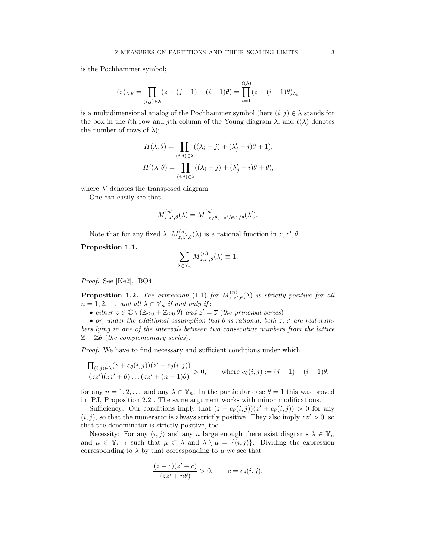is the Pochhammer symbol;

$$
(z)_{\lambda,\theta} = \prod_{(i,j)\in\lambda} (z+(j-1)-(i-1)\theta) = \prod_{i=1}^{\ell(\lambda)} (z-(i-1)\theta)_{\lambda_i}
$$

is a multidimensional analog of the Pochhammer symbol (here  $(i, j) \in \lambda$  stands for the box in the *i*th row and *j*th column of the Young diagram  $\lambda$ , and  $\ell(\lambda)$  denotes the number of rows of  $\lambda$ );

$$
H(\lambda, \theta) = \prod_{(i,j)\in\lambda} ((\lambda_i - j) + (\lambda'_j - i)\theta + 1),
$$
  

$$
H'(\lambda, \theta) = \prod_{(i,j)\in\lambda} ((\lambda_i - j) + (\lambda'_j - i)\theta + \theta),
$$

where  $\lambda'$  denotes the transposed diagram.

One can easily see that

$$
M_{z,z',\theta}^{(n)}(\lambda) = M_{-z/\theta,-z'/\theta,1/\theta}^{(n)}(\lambda').
$$

Note that for any fixed  $\lambda$ ,  $M_{z,z',\theta}^{(n)}(\lambda)$  is a rational function in  $z, z', \theta$ .

Proposition 1.1.

$$
\sum_{\lambda \in \mathbb{Y}_n} M_{z,z',\theta}^{(n)}(\lambda) \equiv 1.
$$

Proof. See [Ke2], [BO4].

**Proposition 1.2.** The expression (1.1) for  $M_{z,z',\theta}^{(n)}(\lambda)$  is strictly positive for all  $n = 1, 2, \ldots$  and all  $\lambda \in \mathbb{Y}_n$  if and only if:

• either  $z \in \mathbb{C} \setminus (\mathbb{Z}_{\leq 0} + \mathbb{Z}_{\geq 0} \theta)$  and  $z' = \overline{z}$  (the principal series)

• or, under the additional assumption that  $\theta$  is rational, both  $z, z'$  are real numbers lying in one of the intervals between two consecutive numbers from the lattice  $\mathbb{Z} + \mathbb{Z}\theta$  (the complementary series).

Proof. We have to find necessary and sufficient conditions under which

$$
\frac{\prod_{(i,j)\in\lambda}(z+c_{\theta}(i,j))(z'+c_{\theta}(i,j))}{(zz')(zz'+\theta)\dots(zz'+(n-1)\theta)}>0, \quad \text{where } c_{\theta}(i,j):=(j-1)-(i-1)\theta,
$$

for any  $n = 1, 2, \ldots$  and any  $\lambda \in \mathbb{Y}_n$ . In the particular case  $\theta = 1$  this was proved in [P.I, Proposition 2.2]. The same argument works with minor modifications.

Sufficiency: Our conditions imply that  $(z + c_{\theta}(i, j))(z' + c_{\theta}(i, j)) > 0$  for any  $(i, j)$ , so that the numerator is always strictly positive. They also imply  $zz' > 0$ , so that the denominator is strictly positive, too.

Necessity: For any  $(i, j)$  and any n large enough there exist diagrams  $\lambda \in \mathbb{Y}_n$ and  $\mu \in \mathbb{Y}_{n-1}$  such that  $\mu \subset \lambda$  and  $\lambda \setminus \mu = \{(i, j)\}\$ . Dividing the expression corresponding to  $\lambda$  by that corresponding to  $\mu$  we see that

$$
\frac{(z+c)(z'+c)}{(zz'+n\theta)} > 0, \qquad c = c_{\theta}(i,j).
$$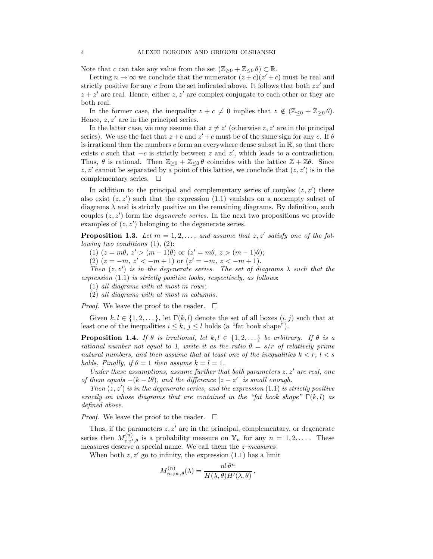Note that c can take any value from the set  $(\mathbb{Z}_{\geq 0} + \mathbb{Z}_{\leq 0} \theta) \subset \mathbb{R}$ .

Letting  $n \to \infty$  we conclude that the numerator  $(z + c)(z' + c)$  must be real and strictly positive for any c from the set indicated above. It follows that both  $zz'$  and  $z + z'$  are real. Hence, either  $z, z'$  are complex conjugate to each other or they are both real.

In the former case, the inequality  $z + c \neq 0$  implies that  $z \notin (\mathbb{Z}_{\leq 0} + \mathbb{Z}_{\geq 0} \theta)$ . Hence,  $z, z'$  are in the principal series.

In the latter case, we may assume that  $z \neq z'$  (otherwise z, z' are in the principal series). We use the fact that  $z + c$  and  $z' + c$  must be of the same sign for any c. If  $\theta$ is irrational then the numbers c form an everywhere dense subset in  $\mathbb{R}$ , so that there exists c such that  $-c$  is strictly between z and z', which leads to a contradiction. Thus,  $\theta$  is rational. Then  $\mathbb{Z}_{\geq 0} + \mathbb{Z}_{\leq 0} \theta$  coincides with the lattice  $\mathbb{Z} + \mathbb{Z}\theta$ . Since  $z, z'$  cannot be separated by a point of this lattice, we conclude that  $(z, z')$  is in the complementary series.  $\square$ 

In addition to the principal and complementary series of couples  $(z, z')$  there also exist  $(z, z')$  such that the expression  $(1.1)$  vanishes on a nonempty subset of diagrams  $\lambda$  and is strictly positive on the remaining diagrams. By definition, such couples  $(z, z')$  form the *degenerate series*. In the next two propositions we provide examples of  $(z, z')$  belonging to the degenerate series.

**Proposition 1.3.** Let  $m = 1, 2, \ldots$ , and assume that  $z, z'$  satisfy one of the fol*lowing two conditions*  $(1)$ ,  $(2)$ :

(1)  $(z = m\theta, z' > (m-1)\theta)$  or  $(z' = m\theta, z > (m-1)\theta)$ ;

(2)  $(z = -m, z' < -m + 1)$  or  $(z' = -m, z < -m + 1)$ .

Then  $(z, z')$  is in the degenerate series. The set of diagrams  $\lambda$  such that the expression  $(1.1)$  is strictly positive looks, respectively, as follows:

(1) all diagrams with at most m rows;

(2) all diagrams with at most m columns.

*Proof.* We leave the proof to the reader.  $\Box$ 

Given  $k, l \in \{1, 2, \ldots\}$ , let  $\Gamma(k, l)$  denote the set of all boxes  $(i, j)$  such that at least one of the inequalities  $i \leq k, j \leq l$  holds (a "fat hook shape").

**Proposition 1.4.** If  $\theta$  is irrational, let  $k, l \in \{1, 2, ...\}$  be arbitrary. If  $\theta$  is a rational number not equal to 1, write it as the ratio  $\theta = s/r$  of relatively prime natural numbers, and then assume that at least one of the inequalities  $k < r, l < s$ holds. Finally, if  $\theta = 1$  then assume  $k = l = 1$ .

Under these assumptions, assume further that both parameters  $z, z'$  are real, one of them equals  $-(k - l\theta)$ , and the difference  $|z - z'|$  is small enough.

Then  $(z, z')$  is in the degenerate series, and the expression  $(1.1)$  is strictly positive exactly on whose diagrams that are contained in the "fat hook shape"  $\Gamma(k, l)$  as defined above.

*Proof.* We leave the proof to the reader.  $\square$ 

Thus, if the parameters  $z, z'$  are in the principal, complementary, or degenerate series then  $M_{z,z',\theta}^{(n)}$  is a probability measure on  $\mathbb{Y}_n$  for any  $n = 1, 2, \ldots$ . These measures deserve a special name. We call them the z–measures.

When both  $z, z'$  go to infinity, the expression (1.1) has a limit

$$
M^{(n)}_{\infty,\infty,\theta}(\lambda) = \frac{n! \,\theta^n}{H(\lambda,\theta)H'(\lambda,\theta)},
$$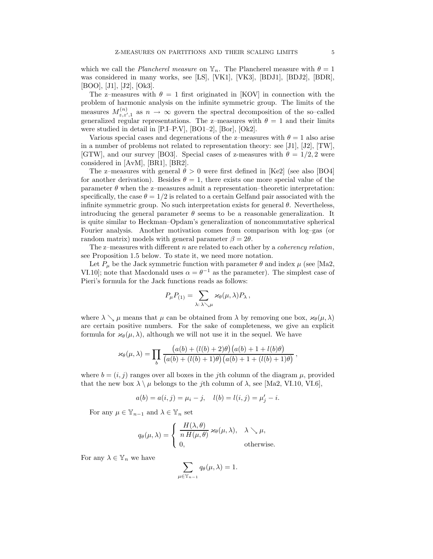which we call the Plancherel measure on  $\mathbb{Y}_n$ . The Plancherel measure with  $\theta = 1$ was considered in many works, see [LS], [VK1], [VK3], [BDJ1], [BDJ2], [BDR], [BOO], [J1], [J2], [Ok3].

The z–measures with  $\theta = 1$  first originated in [KOV] in connection with the problem of harmonic analysis on the infinite symmetric group. The limits of the measures  $M_{z,z',1}^{(n)}$  as  $n \to \infty$  govern the spectral decomposition of the so-called generalized regular representations. The z–measures with  $\theta = 1$  and their limits were studied in detail in [P.I–P.V], [BO1–2], [Bor], [Ok2].

Various special cases and degenerations of the z–measures with  $\theta = 1$  also arise in a number of problems not related to representation theory: see [J1], [J2], [TW], [GTW], and our survey [BO3]. Special cases of z-measures with  $\theta = 1/2, 2$  were considered in [AvM], [BR1], [BR2].

The z–measures with general  $\theta > 0$  were first defined in [Ke2] (see also [BO4] for another derivation). Besides  $\theta = 1$ , there exists one more special value of the parameter  $\theta$  when the z–measures admit a representation–theoretic interpretation: specifically, the case  $\theta = 1/2$  is related to a certain Gelfand pair associated with the infinite symmetric group. No such interpretation exists for general  $\theta$ . Nevertheless, introducing the general parameter  $\theta$  seems to be a reasonable generalization. It is quite similar to Heckman–Opdam's generalization of noncommutative spherical Fourier analysis. Another motivation comes from comparison with log–gas (or random matrix) models with general parameter  $\beta = 2\theta$ .

The z–measures with different  $n$  are related to each other by a *coherency relation*, see Proposition 1.5 below. To state it, we need more notation.

Let  $P_{\mu}$  be the Jack symmetric function with parameter  $\theta$  and index  $\mu$  (see [Ma2, VI.10]; note that Macdonald uses  $\alpha = \theta^{-1}$  as the parameter). The simplest case of Pieri's formula for the Jack functions reads as follows:

$$
P_{\mu}P_{(1)} = \sum_{\lambda:\,\lambda\searrow\mu}\varkappa_{\theta}(\mu,\lambda)P_{\lambda},
$$

where  $\lambda \searrow \mu$  means that  $\mu$  can be obtained from  $\lambda$  by removing one box,  $\varkappa_{\theta}(\mu, \lambda)$ are certain positive numbers. For the sake of completeness, we give an explicit formula for  $\varkappa_{\theta}(\mu, \lambda)$ , although we will not use it in the sequel. We have

$$
\varkappa_{\theta}(\mu,\lambda) = \prod_{b} \frac{\left(a(b) + (l(b) + 2)\theta\right)\left(a(b) + 1 + l(b)\theta\right)}{\left(a(b) + (l(b) + 1)\theta\right)\left(a(b) + 1 + (l(b) + 1)\theta\right)},
$$

where  $b = (i, j)$  ranges over all boxes in the jth column of the diagram  $\mu$ , provided that the new box  $\lambda \setminus \mu$  belongs to the jth column of  $\lambda$ , see [Ma2, VI.10, VI.6],

$$
a(b) = a(i, j) = \mu_i - j
$$
,  $l(b) = l(i, j) = \mu'_j - i$ .

For any  $\mu \in \mathbb{Y}_{n-1}$  and  $\lambda \in \mathbb{Y}_n$  set

$$
q_{\theta}(\mu,\lambda) = \begin{cases} \frac{H(\lambda,\theta)}{n H(\mu,\theta)} \varkappa_{\theta}(\mu,\lambda), & \lambda \searrow \mu, \\ 0, & \text{otherwise.} \end{cases}
$$

For any  $\lambda \in \mathbb{Y}_n$  we have

$$
\sum_{\mu \in \mathbb{Y}_{n-1}} q_{\theta}(\mu, \lambda) = 1.
$$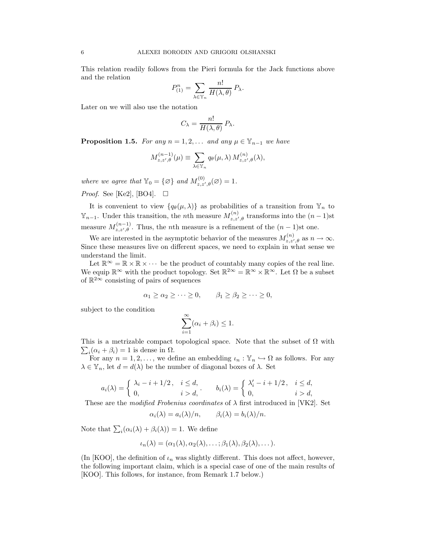This relation readily follows from the Pieri formula for the Jack functions above and the relation

$$
P_{(1)}^n = \sum_{\lambda \in \mathbb{Y}_n} \frac{n!}{H(\lambda, \theta)} P_{\lambda}.
$$

Later on we will also use the notation

$$
C_{\lambda} = \frac{n!}{H(\lambda, \theta)} P_{\lambda}.
$$

**Proposition 1.5.** For any  $n = 1, 2, \ldots$  and any  $\mu \in \mathbb{Y}_{n-1}$  we have

$$
M_{z,z',\theta}^{(n-1)}(\mu) \equiv \sum_{\lambda \in \mathbb{Y}_n} q_{\theta}(\mu, \lambda) M_{z,z',\theta}^{(n)}(\lambda),
$$

where we agree that  $\mathbb{Y}_0 = \{ \varnothing \}$  and  $M_{z,z',\theta}^{(0)}(\varnothing) = 1$ .

*Proof.* See [Ke2], [BO4].  $\square$ 

It is convenient to view  $\{q_\theta(\mu, \lambda)\}\$ as probabilities of a transition from  $\mathbb{Y}_n$  to  $\mathbb{Y}_{n-1}$ . Under this transition, the *n*th measure  $M_{z,z',\theta}^{(n)}$  transforms into the  $(n-1)$ st measure  $M_{z,z',\theta}^{(n-1)}$ . Thus, the *n*th measure is a refinement of the  $(n-1)$ st one.

We are interested in the asymptotic behavior of the measures  $M_{z,z',\theta}^{(n)}$  as  $n \to \infty$ . Since these measures live on different spaces, we need to explain in what sense we understand the limit.

Let  $\mathbb{R}^{\infty} = \mathbb{R} \times \mathbb{R} \times \cdots$  be the product of countably many copies of the real line. We equip  $\mathbb{R}^{\infty}$  with the product topology. Set  $\mathbb{R}^{2\infty} = \mathbb{R}^{\infty} \times \mathbb{R}^{\infty}$ . Let  $\Omega$  be a subset of  $\mathbb{R}^{2\infty}$  consisting of pairs of sequences

$$
\alpha_1 \ge \alpha_2 \ge \cdots \ge 0, \qquad \beta_1 \ge \beta_2 \ge \cdots \ge 0,
$$

subject to the condition

$$
\sum_{i=1}^{\infty} (\alpha_i + \beta_i) \le 1.
$$

This is a metrizable compact topological space. Note that the subset of  $\Omega$  with  $\sum_i (\alpha_i + \beta_i) = 1$  is dense in  $\Omega$ .

For any  $n = 1, 2, \ldots$ , we define an embedding  $\iota_n : \mathbb{Y}_n \hookrightarrow \Omega$  as follows. For any  $\lambda \in \mathbb{Y}_n$ , let  $d = d(\lambda)$  be the number of diagonal boxes of  $\lambda$ . Set

$$
a_i(\lambda) = \begin{cases} \lambda_i - i + 1/2, & i \leq d, \\ 0, & i > d, \end{cases}, \qquad b_i(\lambda) = \begin{cases} \lambda'_i - i + 1/2, & i \leq d, \\ 0, & i > d, \end{cases}
$$

These are the modified Frobenius coordinates of  $\lambda$  first introduced in [VK2]. Set

$$
\alpha_i(\lambda) = a_i(\lambda)/n, \qquad \beta_i(\lambda) = b_i(\lambda)/n.
$$

Note that  $\sum_i (\alpha_i(\lambda) + \beta_i(\lambda)) = 1$ . We define

$$
\iota_n(\lambda) = (\alpha_1(\lambda), \alpha_2(\lambda), \ldots; \beta_1(\lambda), \beta_2(\lambda), \ldots).
$$

(In [KOO], the definition of  $\iota_n$  was slightly different. This does not affect, however, the following important claim, which is a special case of one of the main results of [KOO]. This follows, for instance, from Remark 1.7 below.)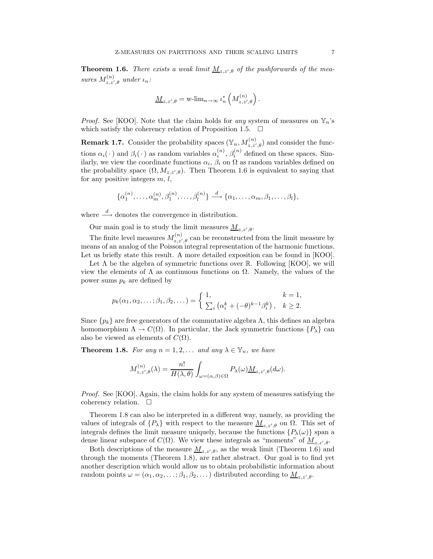**Theorem 1.6.** There exists a weak limit  $\underline{M}_{z,z',\theta}$  of the pushforwards of the measures  $M_{z,z',\theta}^{(n)}$  under  $\iota_n$ :

$$
\underline{M}_{z,z',\theta} = \operatorname{w-lim}_{n\to\infty} \iota_n^*\left(M^{(n)}_{z,z',\theta}\right).
$$

*Proof.* See [KOO]. Note that the claim holds for any system of measures on  $\mathbb{Y}_n$ 's which satisfy the coherency relation of Proposition 1.5.  $\Box$ 

**Remark 1.7.** Consider the probability spaces  $(\mathbb{Y}_n, M_{z,z',\theta}^{(n)})$  and consider the functions  $\alpha_i(\cdot)$  and  $\beta_i(\cdot)$  as random variables  $\alpha_i^{(n)}$ ,  $\beta_i^{(n)}$  defined on these spaces. Similarly, we view the coordinate functions  $\alpha_i$ ,  $\beta_i$  on  $\Omega$  as random variables defined on the probability space  $(\Omega, M_{z,z',\theta})$ . Then Theorem 1.6 is equivalent to saying that for any positive integers  $m, l$ ,

$$
\{\alpha_1^{(n)},\ldots,\alpha_m^{(n)},\beta_1^{(n)},\ldots,\beta_l^{(n)}\}\stackrel{d}{\longrightarrow}\{\alpha_1,\ldots,\alpha_m,\beta_1,\ldots,\beta_l\},\
$$

where  $\stackrel{d}{\longrightarrow}$  denotes the convergence in distribution.

Our main goal is to study the limit measures  $\underline{M}_{z,z',\theta}$ .

The finite level measures  $M_{z,z',\theta}^{(n)}$  can be reconstructed from the limit measure by means of an analog of the Poisson integral representation of the harmonic functions. Let us briefly state this result. A more detailed exposition can be found in [KOO].

Let  $\Lambda$  be the algebra of symmetric functions over  $\mathbb R$ . Following [KOO], we will view the elements of  $\Lambda$  as continuous functions on  $\Omega$ . Namely, the values of the power sums  $p_k$  are defined by

$$
p_k(\alpha_1, \alpha_2, \dots; \beta_1, \beta_2, \dots) = \begin{cases} 1, & k = 1, \\ \sum_i (\alpha_i^k + (-\theta)^{k-1} \beta_i^k), & k \ge 2. \end{cases}
$$

Since  $\{p_k\}$  are free generators of the commutative algebra  $\Lambda$ , this defines an algebra homomorphism  $\Lambda \to C(\Omega)$ . In particular, the Jack symmetric functions  $\{P_\lambda\}$  can also be viewed as elements of  $C(\Omega)$ .

**Theorem 1.8.** For any  $n = 1, 2, \ldots$  and any  $\lambda \in \mathbb{Y}_n$ , we have

$$
M_{z,z',\theta}^{(n)}(\lambda)=\frac{n!}{H(\lambda,\theta)}\int_{\omega=(\alpha,\beta)\in \Omega}P_\lambda(\omega)\underline{M}_{z,z',\theta}(d\omega).
$$

Proof. See [KOO]. Again, the claim holds for any system of measures satisfying the coherency relation.  $\square$ 

Theorem 1.8 can also be interpreted in a different way, namely, as providing the values of integrals of  $\{P_\lambda\}$  with respect to the measure  $\underline{M}_{z,z',\theta}$  on  $\Omega$ . This set of integrals defines the limit measure uniquely, because the functions  $\{P_\lambda(\omega)\}\$  span a dense linear subspace of  $C(\Omega)$ . We view these integrals as "moments" of  $\underline{M}_{z,z',\theta}$ .

Both descriptions of the measure  $\underline{M}_{z,z',\theta}$ , as the weak limit (Theorem 1.6) and through the moments (Theorem 1.8), are rather abstract. Our goal is to find yet another description which would allow us to obtain probabilistic information about random points  $\omega = (\alpha_1, \alpha_2, \dots; \beta_1, \beta_2, \dots)$  distributed according to  $\underline{M}_{z, z', \theta}$ .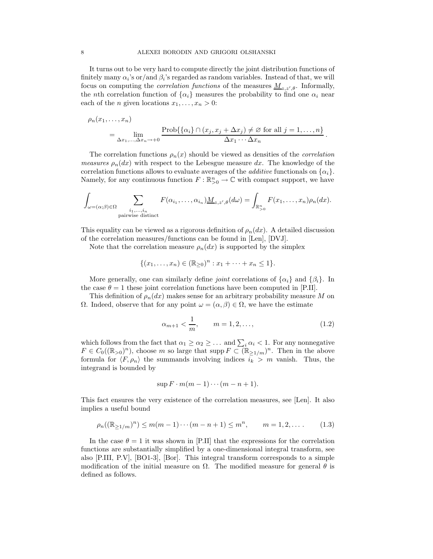It turns out to be very hard to compute directly the joint distribution functions of finitely many  $\alpha_i$ 's or/and  $\beta_i$ 's regarded as random variables. Instead of that, we will focus on computing the *correlation functions* of the measures  $\underline{M}_{z,z',\theta}$ . Informally, the nth correlation function of  $\{\alpha_i\}$  measures the probability to find one  $\alpha_i$  near each of the *n* given locations  $x_1, \ldots, x_n > 0$ :

$$
\rho_n(x_1,\ldots,x_n) = \lim_{\Delta x_1,\ldots,\Delta x_n\to+0} \frac{\text{Prob}\{\{\alpha_i\}\cap(x_j,x_j+\Delta x_j)\neq\varnothing \text{ for all }j=1,\ldots,n\}}{\Delta x_1\cdots\Delta x_n}.
$$

The correlation functions  $\rho_n(x)$  should be viewed as densities of the *correlation measures*  $\rho_n(dx)$  with respect to the Lebesgue measure dx. The knowledge of the correlation functions allows to evaluate averages of the *additive* functionals on  $\{\alpha_i\}$ . Namely, for any continuous function  $F: \mathbb{R}^n_{>0} \to \mathbb{C}$  with compact support, we have

$$
\int_{\omega=(\alpha;\beta)\in\Omega}\sum_{\substack{i_1,\ldots,i_n\\ \text{pairwise distinct}}}F(\alpha_{i_1},\ldots,\alpha_{i_n})\underline{M}_{z,z',\theta}(d\omega)=\int_{\mathbb{R}_{>0}^n}F(x_1,\ldots,x_n)\rho_n(dx).
$$

This equality can be viewed as a rigorous definition of  $\rho_n(dx)$ . A detailed discussion of the correlation measures/functions can be found in [Len], [DVJ].

Note that the correlation measure  $\rho_n(dx)$  is supported by the simplex

$$
\{(x_1,\ldots,x_n)\in (\mathbb{R}_{\geq 0})^n : x_1+\cdots+x_n\leq 1\}.
$$

More generally, one can similarly define *joint* correlations of  $\{\alpha_i\}$  and  $\{\beta_i\}$ . In the case  $\theta = 1$  these joint correlation functions have been computed in [P.II].

This definition of  $\rho_n(dx)$  makes sense for an arbitrary probability measure M on  $\Omega$ . Indeed, observe that for any point  $\omega = (\alpha, \beta) \in \Omega$ , we have the estimate

$$
\alpha_{m+1} < \frac{1}{m}, \qquad m = 1, 2, \dots,\tag{1.2}
$$

which follows from the fact that  $\alpha_1 \geq \alpha_2 \geq \ldots$  and  $\sum_i \alpha_i < 1$ . For any nonnegative  $F \in C_0((\mathbb{R}_{>0})^n)$ , choose m so large that supp  $F \subset (\mathbb{R}_{\geq 1/m})^n$ . Then in the above formula for  $\langle F, \rho_n \rangle$  the summands involving indices  $i_k > m$  vanish. Thus, the integrand is bounded by

$$
\sup F \cdot m(m-1)\cdots(m-n+1).
$$

This fact ensures the very existence of the correlation measures, see [Len]. It also implies a useful bound

$$
\rho_n((\mathbb{R}_{\geq 1/m})^n) \leq m(m-1)\cdots(m-n+1) \leq m^n, \qquad m=1,2,\ldots
$$
 (1.3)

In the case  $\theta = 1$  it was shown in [P.II] that the expressions for the correlation functions are substantially simplified by a one-dimensional integral transform, see also [P.III, P.V], [BO1-3], [Bor]. This integral transform corresponds to a simple modification of the initial measure on  $\Omega$ . The modified measure for general  $\theta$  is defined as follows.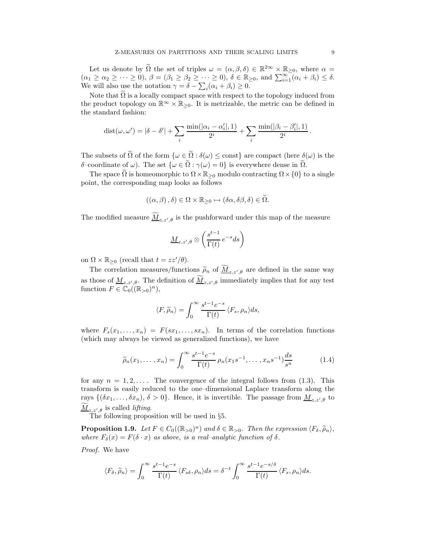Let us denote by  $\Omega$  the set of triples  $\omega = (\alpha, \beta, \delta) \in \mathbb{R}^{2\infty} \times \mathbb{R}_{\geq 0}$ , where  $\alpha =$  $(\alpha_1 \geq \alpha_2 \geq \cdots \geq 0), \ \beta = (\beta_1 \geq \beta_2 \geq \cdots \geq 0), \ \delta \in \mathbb{R}_{\geq 0}, \text{ and } \sum_{i=1}^{\infty} (\alpha_i + \beta_i) \leq \delta.$ We will also use the notation  $\gamma = \delta - \sum_i (\alpha_i + \beta_i) \ge 0$ .

Note that  $\Omega$  is a locally compact space with respect to the topology induced from the product topology on  $\mathbb{R}^{\infty} \times \mathbb{R}_{\geq 0}$ . It is metrizable, the metric can be defined in the standard fashion:

$$
dist(\omega, \omega') = |\delta - \delta'| + \sum_{i} \frac{\min(|\alpha_i - \alpha'_i|, 1)}{2^i} + \sum_{i} \frac{\min(|\beta_i - \beta'_i|, 1)}{2^i}.
$$

The subsets of  $\tilde{\Omega}$  of the form  $\{\omega \in \tilde{\Omega} : \delta(\omega) \leq \text{const}\}\$ are compact (here  $\delta(\omega)$ ) is the δ–coordinate of  $ω$ ). The set  $\{ω \in \tilde{Ω} : \gamma(ω) = 0\}$  is everywhere dense in  $\tilde{Ω}$ .

The space  $\Omega$  is homeomorphic to  $\Omega \times \mathbb{R}_{\geq 0}$  modulo contracting  $\Omega \times \{0\}$  to a single point, the corresponding map looks as follows

$$
((\alpha,\beta),\delta)\in\Omega\times\mathbb{R}_{\geq0}\mapsto(\delta\alpha,\delta\beta,\delta)\in\widetilde{\Omega}.
$$

The modified measure  $\underline{M}_{z,z',\theta}$  is the pushforward under this map of the measure

$$
\underline{M}_{z,z',\theta} \otimes \left(\frac{s^{t-1}}{\Gamma(t)}e^{-s}ds\right)
$$

on  $\Omega \times \mathbb{R}_{\geq 0}$  (recall that  $t = zz'/\theta$ ).

The correlation measures/functions  $\widetilde{\rho}_n$  of  $\underline{M}_{z,z',\theta}$  are defined in the same way as those of  $\underline{M}_{z,z',\theta}$ . The definition of  $\underline{M}_{z,z',\theta}$  immediately implies that for any test function  $F \in \mathbb{C}_0((\mathbb{R}_{>0})^n)$ ,

$$
\langle F, \widetilde{\rho}_n \rangle = \int_0^\infty \frac{s^{t-1} e^{-s}}{\Gamma(t)} \langle F_s, \rho_n \rangle ds,
$$

where  $F_s(x_1, \ldots, x_n) = F(sx_1, \ldots, sx_n)$ . In terms of the correlation functions (which may always be viewed as generalized functions), we have

$$
\widetilde{\rho}_n(x_1,\ldots,x_n) = \int_0^\infty \frac{s^{t-1}e^{-s}}{\Gamma(t)} \rho_n(x_1s^{-1},\ldots,x_ns^{-1})\frac{ds}{s^n}
$$
\n(1.4)

for any  $n = 1, 2, \ldots$ . The convergence of the integral follows from (1.3). This transform is easily reduced to the one–dimensional Laplace transform along the rays  $\{(\delta x_1, \ldots, \delta x_n), \delta > 0\}$ . Hence, it is invertible. The passage from  $\underline{M}_{z,z',\theta}$  to  $M_{z,z',\theta}$  is called lifting.

The following proposition will be used in §5.

**Proposition 1.9.** Let  $F \in C_0((\mathbb{R}_{>0})^n)$  and  $\delta \in \mathbb{R}_{>0}$ . Then the expression  $\langle F_\delta, \tilde{\rho}_n \rangle$ , where  $F_{\delta}(x) = F(\delta \cdot x)$  as above, is a real-analytic function of  $\delta$ .

Proof. We have

$$
\langle F_{\delta}, \widetilde{\rho}_n \rangle = \int_0^{\infty} \frac{s^{t-1} e^{-s}}{\Gamma(t)} \langle F_{s\delta}, \rho_n \rangle ds = \delta^{-t} \int_0^{\infty} \frac{s^{t-1} e^{-s/\delta}}{\Gamma(t)} \langle F_s, \rho_n \rangle ds.
$$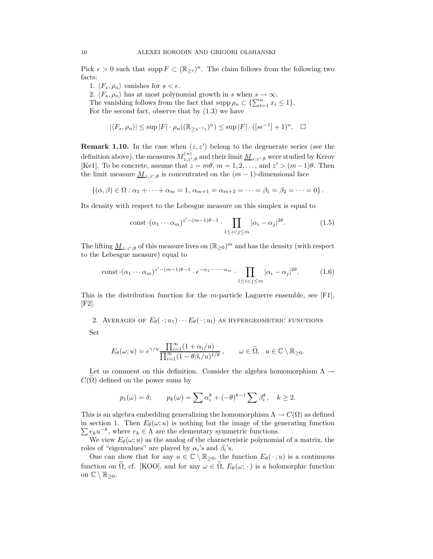Pick  $\epsilon > 0$  such that supp  $F \subset (\mathbb{R}_{\geq \epsilon})^n$ . The claim follows from the following two facts:

1.  $\langle F_s, \rho_n \rangle$  vanishes for  $s < \epsilon$ .

2.  $\langle F_s, \rho_n \rangle$  has at most polynomial growth in s when  $s \to \infty$ .

The vanishing follows from the fact that  $\text{supp}\,\rho_n \subset \{\sum_{i=1}^n x_i \leq 1\}.$ For the second fact, observe that by  $(1.3)$  we have

$$
|\langle F_s, \rho_n \rangle| \le \sup |F| \cdot \rho_n((\mathbb{R}_{\ge s^{-1}\epsilon})^n) \le \sup |F| \cdot ([s\epsilon^{-1}] + 1)^n
$$
.  $\square$ 

**Remark 1.10.** In the case when  $(z, z')$  belong to the degenerate series (see the definition above), the measures  $M_{z,z',\theta}^{(n)}$  and their limit  $\underline{M}_{z,z',\theta}$  were studied by Kerov [Ke1]. To be concrete, assume that  $z = m\theta$ ,  $m = 1, 2, ...,$  and  $z' > (m-1)\theta$ . Then the limit measure  $\underline{M}_{z,z',\theta}$  is concentrated on the  $(m-1)$ -dimensional face

$$
\{(\alpha, \beta) \in \Omega : \alpha_1 + \cdots + \alpha_m = 1, \, \alpha_{m+1} = \alpha_{m+2} = \cdots = \beta_1 = \beta_2 = \cdots = 0\}.
$$

Its density with respect to the Lebesgue measure on this simplex is equal to

$$
\text{const}\cdot (\alpha_1\cdots\alpha_m)^{z'-(m-1)\theta-1}\cdot\prod_{1\leq i
$$

The lifting  $\underline{M}_{z,z',\theta}$  of this measure lives on  $(\mathbb{R}_{\geq 0})^m$  and has the density (with respect to the Lebesgue measure) equal to

const 
$$
(\alpha_1 \cdots \alpha_m)^{z'-(m-1)\theta-1} \cdot e^{-\alpha_1-\cdots-\alpha_m} \cdot \prod_{1 \le i < j \le m} |\alpha_i - \alpha_j|^{2\theta}.
$$
 (1.6)

This is the distribution function for the m-particle Laguerre ensemble, see  $[F1]$ , [F2].

2. AVERAGES OF  $E_{\theta}(\cdot; u_1) \cdots E_{\theta}(\cdot; u_l)$  as hypergeometric functions Set

$$
E_{\theta}(\omega; u) = e^{\gamma/u} \frac{\prod_{i=1}^{\infty} (1 + \alpha_i/u)}{\prod_{i=1}^{\infty} (1 - \theta \beta_i/u)^{1/\theta}}, \qquad \omega \in \widetilde{\Omega}, \ \ u \in \mathbb{C} \setminus \mathbb{R}_{\geq 0}.
$$

Let us comment on this definition. Consider the algebra homomorphism  $\Lambda \rightarrow$  $C(\Omega)$  defined on the power sums by

$$
p_1(\omega) = \delta;
$$
  $p_k(\omega) = \sum \alpha_i^k + (-\theta)^{k-1} \sum \beta_i^k, \quad k \ge 2.$ 

This is an algebra embedding generalizing the homomorphism  $\Lambda \to C(\Omega)$  as defined  $\sum e_k u^{-k}$ , where  $e_k \in \Lambda$  are the elementary symmetric functions. in section 1. Then  $E_{\theta}(\omega; u)$  is nothing but the image of the generating function

We view  $E_{\theta}(\omega; u)$  as the analog of the characteristic polynomial of a matrix, the roles of "eigenvalues" are played by  $\alpha_i$ 's and  $\beta_i$ 's.

One can show that for any  $u \in \mathbb{C} \setminus \mathbb{R}_{\geq 0}$ , the function  $E_{\theta}(\cdot; u)$  is a continuous function on  $\tilde{\Omega}$ , cf. [KOO], and for any  $\omega \in \tilde{\Omega}$ ,  $E_{\theta}(\omega; \cdot)$  is a holomorphic function on  $\mathbb{C} \setminus \mathbb{R}_{\geq 0}$ .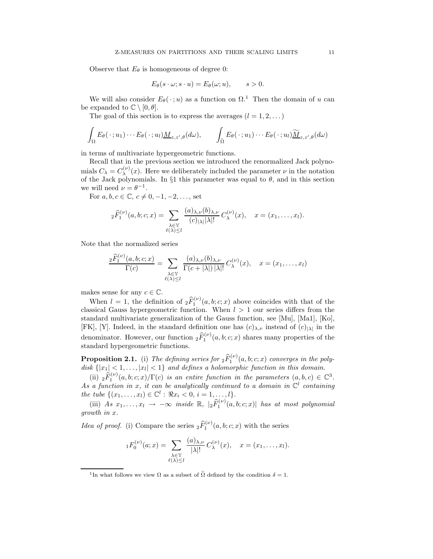Observe that  $E_{\theta}$  is homogeneous of degree 0:

$$
E_{\theta}(s \cdot \omega; s \cdot u) = E_{\theta}(\omega; u), \qquad s > 0.
$$

We will also consider  $E_{\theta}(\cdot; u)$  as a function on  $\Omega$ <sup>1</sup>. Then the domain of u can be expanded to  $\mathbb{C} \setminus [0, \theta]$ .

The goal of this section is to express the averages  $(l = 1, 2, ...)$ 

$$
\int_{\Omega} E_{\theta}(\cdot; u_1) \cdots E_{\theta}(\cdot; u_l) \underline{M}_{z, z', \theta}(d\omega), \qquad \int_{\widetilde{\Omega}} E_{\theta}(\cdot; u_1) \cdots E_{\theta}(\cdot; u_l) \underline{\widetilde{M}}_{z, z', \theta}(d\omega)
$$

in terms of multivariate hypergeometric functions.

Recall that in the previous section we introduced the renormalized Jack polynomials  $C_{\lambda} = C_{\lambda}^{(\nu)}$  $\lambda^{(\nu)}(x)$ . Here we deliberately included the parameter  $\nu$  in the notation of the Jack polynomials. In §1 this parameter was equal to  $\theta$ , and in this section we will need  $\nu = \theta^{-1}$ .

For  $a, b, c \in \mathbb{C}, c \neq 0, -1, -2, \ldots$ , set

$$
{}_2\widehat{F}_1^{(\nu)}(a,b;c;x)=\sum_{\substack{\lambda\in\mathbb{Y}\\ \ell(\lambda)\leq l}}\frac{(a)_{\lambda,\nu}(b)_{\lambda,\nu}}{(c)_{|\lambda|}|\lambda|!}C_{\lambda}^{(\nu)}(x),\quad x=(x_1,\ldots,x_l).
$$

Note that the normalized series

$$
\frac{{}_2\widehat{F}_1^{(\nu)}(a,b;c;x)}{\Gamma(c)} = \sum_{\substack{\lambda \in \mathbb{Y} \\ \ell(\lambda) \le l}} \frac{(a)_{\lambda,\nu}(b)_{\lambda,\nu}}{\Gamma(c+|\lambda|) |\lambda|!} C_{\lambda}^{(\nu)}(x), \quad x = (x_1,\ldots,x_l)
$$

makes sense for any  $c \in \mathbb{C}$ .

When  $l = 1$ , the definition of  ${}_{2}F_{1}^{(\nu)}(a, b; c; x)$  above coincides with that of the classical Gauss hypergeometric function. When  $l > 1$  our series differs from the standard multivariate generalization of the Gauss function, see [Mu], [Ma1], [Ko], [FK], [Y]. Indeed, in the standard definition one has  $(c)_{\lambda,\nu}$  instead of  $(c)_{|\lambda|}$  in the denominator. However, our function  ${}_{2}\widehat{F}_{1}^{(\nu)}(a,b;c;x)$  shares many properties of the standard hypergeometric functions.

**Proposition 2.1.** (i) The defining series for  ${}_2\widehat{F}_1^{(\nu)}(a,b;c;x)$  converges in the polydisk  $\{|x_1| < 1, \ldots, |x_l| < 1\}$  and defines a holomorphic function in this domain.

(ii)  ${}_2\widehat{F}_1^{(\nu)}(a,b;c;x)/\Gamma(c)$  is an entire function in the parameters  $(a,b,c) \in \mathbb{C}^3$ . (ii)  $2^{i_1}$  (a, o, c, x)/1 (c) is an entire function in the parameters (a, o, c)  $\in \mathbb{C}$ .<br>As a function in x, it can be analytically continued to a domain in  $\mathbb{C}^l$  containing the tube  $\{(x_1, ..., x_l) \in \mathbb{C}^l : \Re x_i < 0, i = 1, ..., l\}.$ 

(iii) As  $x_1, \ldots, x_l \to -\infty$  inside  $\mathbb{R}$ ,  $|_2\widehat{F}_1^{(\nu)}(a,b;c;x)|$  has at most polynomial growth in x.

*Idea of proof.* (i) Compare the series  ${}_2\widehat{F}_1^{(\nu)}(a,b;c;x)$  with the series

$$
{}_1F_0^{(\nu)}(a;x)=\sum_{\substack{\lambda\in\mathbb{Y}\\ \ell(\lambda)\leq l}}\frac{(a)_{\lambda,\nu}}{|\lambda|!}C_{\lambda}^{(\nu)}(x),\quad x=(x_1,\ldots,x_l).
$$

<sup>&</sup>lt;sup>1</sup>In what follows we view  $\Omega$  as a subset of  $\tilde{\Omega}$  defined by the condition  $\delta = 1$ .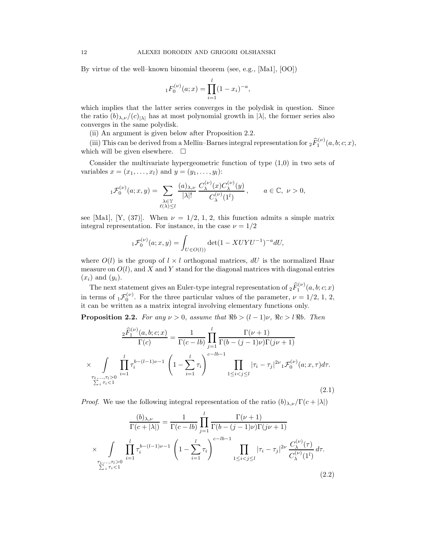By virtue of the well–known binomial theorem (see, e.g., [Ma1], [OO])

$$
{}_{1}F_{0}^{(\nu)}(a;x) = \prod_{i=1}^{l} (1 - x_{i})^{-a},
$$

which implies that the latter series converges in the polydisk in question. Since the ratio  $(b)_{\lambda,\nu}/(c)_{|\lambda|}$  has at most polynomial growth in  $|\lambda|$ , the former series also converges in the same polydisk.

(ii) An argument is given below after Proposition 2.2.

(iii) This can be derived from a Mellin–Barnes integral representation for  ${}_2\widehat{F}_1^{(\nu)}(a,b;c;x)$ , which will be given elsewhere.  $\square$ 

Consider the multivariate hypergeometric function of type (1,0) in two sets of variables  $x = (x_1, \ldots, x_l)$  and  $y = (y_1, \ldots, y_l)$ :

$$
{}_{1}\mathcal{F}_{0}^{(\nu)}(a;x,y) = \sum_{\substack{\lambda \in \mathbb{Y} \\ \ell(\lambda) \leq l}} \frac{(a)_{\lambda,\nu}}{|\lambda|!} \frac{C_{\lambda}^{(\nu)}(x) C_{\lambda}^{(\nu)}(y)}{C_{\lambda}^{(\nu)}(1^{l})}, \qquad a \in \mathbb{C}, \ \nu > 0,
$$

see [Ma1], [Y, (37)]. When  $\nu = 1/2, 1, 2$ , this function admits a simple matrix integral representation. For instance, in the case  $\nu = 1/2$ 

$$
{}_{1}\mathcal{F}_{0}^{(\nu)}(a;x,y)=\int_{U\in O(l))}\det(1-XUYU^{-1})^{-a}dU,
$$

where  $O(l)$  is the group of  $l \times l$  orthogonal matrices, dU is the normalized Haar measure on  $O(l)$ , and X and Y stand for the diagonal matrices with diagonal entries  $(x_i)$  and  $(y_i)$ .

The next statement gives an Euler-type integral representation of  ${}_2\widehat{F}_1^{(\nu)}(a,b;c;x)$ in terms of  ${}_{1}\mathcal{F}_{0}^{(\nu)}$ . For the three particular values of the parameter,  $\nu = 1/2, 1, 2,$ it can be written as a matrix integral involving elementary functions only.

**Proposition 2.2.** For any  $\nu > 0$ , assume that  $\Re b > (l-1)\nu$ ,  $\Re c > l \Re b$ . Then

$$
\frac{2\widehat{F}_1^{(\nu)}(a,b;c;x)}{\Gamma(c)} = \frac{1}{\Gamma(c-lb)} \prod_{j=1}^l \frac{\Gamma(\nu+1)}{\Gamma(b-(j-1)\nu)\Gamma(j\nu+1)}
$$

$$
\times \int\limits_{\substack{\tau_1,\ldots,\tau_l>0 \\ \sum_{i} \tau_i<1}} \prod_{i=1}^l \tau_i^{b-(l-1)\nu-1} \left(1 - \sum_{i=1}^l \tau_i\right)^{c-lb-1} \prod_{1 \le i < j \le l} |\tau_i - \tau_j|^{2\nu} \mathcal{F}_0^{(\nu)}(a;x,\tau) d\tau. \tag{2.1}
$$

*Proof.* We use the following integral representation of the ratio  $(b)_{\lambda,\nu}/\Gamma(c+|\lambda|)$ 

$$
\frac{(b)_{\lambda,\nu}}{\Gamma(c+|\lambda|)} = \frac{1}{\Gamma(c-lb)} \prod_{j=1}^{l} \frac{\Gamma(\nu+1)}{\Gamma(b-(j-1)\nu)\Gamma(j\nu+1)} \times \int_{\substack{\tau_1,\ldots,\tau_l>0 \\ \sum_{i} \tau_i <1}} \prod_{i=1}^{l} \tau_i^{b-(l-1)\nu-1} \left(1 - \sum_{i=1}^{l} \tau_i\right)^{c-lb-1} \prod_{1 \leq i < j \leq l} |\tau_i - \tau_j|^{2\nu} \frac{C_{\lambda}^{(\nu)}(\tau)}{C_{\lambda}^{(\nu)}(1^{l})} d\tau.
$$
\n(2.2)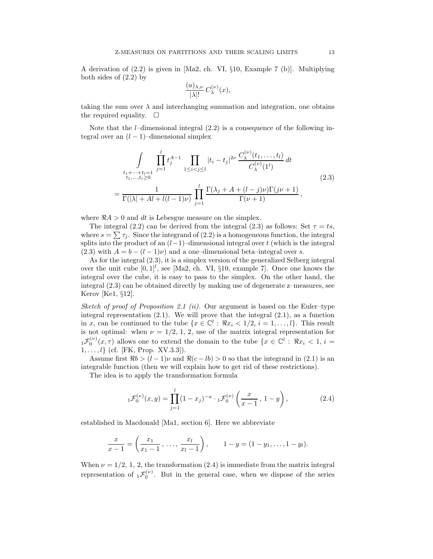A derivation of (2.2) is given in [Ma2, ch. VI, §10, Example 7 (b)]. Multiplying both sides of (2.2) by

$$
\frac{(a)_{\lambda,\nu}}{|\lambda|!}C_{\lambda}^{(\nu)}(x),
$$

taking the sum over  $\lambda$  and interchanging summation and integration, one obtains the required equality.  $\square$ 

Note that the *l*–dimensional integral  $(2.2)$  is a consequence of the following integral over an  $(l-1)$ –dimensional simplex

$$
\int_{\substack{t_1+\dots+t_l=1\\t_1,\dots,t_l\geq 0}} \prod_{j=1}^l t_j^{A-1} \prod_{1\leq i < j \leq l} |t_i - t_j|^{2\nu} \frac{C_{\lambda}^{(\nu)}(t_1,\dots,t_l)}{C_{\lambda}^{(\nu)}(1^l)} dt
$$
\n
$$
= \frac{1}{\Gamma(|\lambda| + Al + l(l-1)\nu)} \prod_{j=1}^l \frac{\Gamma(\lambda_j + A + (l-j)\nu)\Gamma(j\nu+1)}{\Gamma(\nu+1)},
$$
\n(2.3)

where  $R A > 0$  and dt is Lebesgue measure on the simplex.

=

The integral (2.2) can be derived from the integral (2.3) as follows: Set  $\tau = ts$ , where  $s = \sum \tau_j$ . Since the integrand of (2.2) is a homogeneous function, the integral splits into the product of an  $(l-1)$ –dimensional integral over t (which is the integral (2.3) with  $A = b - (l - 1)\nu$  and a one–dimensional beta–integral over s.

As for the integral (2.3), it is a simplex version of the generalized Selberg integral over the unit cube  $[0,1]^l$ , see [Ma2, ch. VI, §10, example 7]. Once one knows the integral over the cube, it is easy to pass to the simplex. On the other hand, the integral (2.3) can be obtained directly by making use of degenerate z–measures, see Kerov [Ke1, §12].

Sketch of proof of Proposition 2.1 (ii). Our argument is based on the Euler–type integral representation  $(2.1)$ . We will prove that the integral  $(2.1)$ , as a function in x, can be continued to the tube  $\{x \in \mathbb{C}^l : \Re x_i < 1/2, i = 1, \ldots, l\}$ . This result is not optimal: when  $\nu = 1/2, 1, 2$ , use of the matrix integral representation for  ${}_{1}\mathcal{F}_{0}^{(\nu)}(x,\tau)$  allows one to extend the domain to the tube  $\{x \in \mathbb{C}^{l} : \Re x_{i} < 1, i = 1\}$  $1, \ldots, l$  (cf. [FK, Prop. XV.3.3]).

Assume first  $\Re b > (l-1)\nu$  and  $\Re(c - lb) > 0$  so that the integrand in (2.1) is an integrable function (then we will explain how to get rid of these restrictions).

The idea is to apply the transformation formula

$$
{}_{1}\mathcal{F}_{0}^{(\nu)}(x,y) = \prod_{j=1}^{l} (1-x_{j})^{-a} \cdot {}_{1}\mathcal{F}_{0}^{(\nu)}\left(\frac{x}{x-1}, 1-y\right), \tag{2.4}
$$

established in Macdonald [Ma1, section 6]. Here we abbreviate

$$
\frac{x}{x-1} = \left(\frac{x_1}{x_1-1}, \ldots, \frac{x_l}{x_l-1}\right), \qquad 1-y = (1-y_1, \ldots, 1-y_l).
$$

When  $\nu = 1/2, 1, 2$ , the transformation (2.4) is immediate from the matrix integral representation of  ${}_{1}\mathcal{F}_{0}^{(\nu)}$ . But in the general case, when we dispose of the series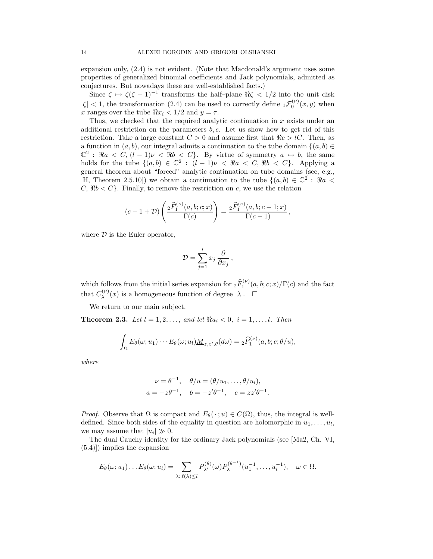expansion only, (2.4) is not evident. (Note that Macdonald's argument uses some properties of generalized binomial coefficients and Jack polynomials, admitted as conjectures. But nowadays these are well-established facts.)

Since  $\zeta \mapsto \zeta(\zeta - 1)^{-1}$  transforms the half-plane  $\Re \zeta \langle 1/2 \rangle$  into the unit disk  $|\zeta|$  < 1, the transformation (2.4) can be used to correctly define  ${}_{1}\mathcal{F}_{0}^{(\nu)}(x,y)$  when x ranges over the tube  $\Re x_i < 1/2$  and  $y = \tau$ .

Thus, we checked that the required analytic continuation in x exists under an additional restriction on the parameters  $b, c$ . Let us show how to get rid of this restriction. Take a large constant  $C > 0$  and assume first that  $\Re c > lC$ . Then, as a function in  $(a, b)$ , our integral admits a continuation to the tube domain  $\{(a, b) \in$  $\mathbb{C}^2$ :  $\Re a \leq C, (l-1)\nu \leq \Re b \leq C$ . By virtue of symmetry  $a \leftrightarrow b$ , the same holds for the tube  $\{(a, b) \in \mathbb{C}^2 : (l-1)\nu < \Re a < C, \Re b < C\}$ . Applying a general theorem about "forced" analytic continuation on tube domains (see, e.g., [H, Theorem 2.5.10]) we obtain a continuation to the tube  $\{(a, b) \in \mathbb{C}^2 : \Re a$  $C, \Re b < C$ . Finally, to remove the restriction on c, we use the relation

$$
(c-1+D)\left(\frac{{}_2\widehat{F}_1^{(\nu)}(a,b;c;x)}{\Gamma(c)}\right)=\frac{{}_2\widehat{F}_1^{(\nu)}(a,b;c-1;x)}{\Gamma(c-1)},
$$

where  $\mathcal D$  is the Euler operator,

$$
\mathcal{D} = \sum_{j=1}^{l} x_j \frac{\partial}{\partial x_j},
$$

which follows from the initial series expansion for  ${}_2\widehat{F}_1^{(\nu)}(a,b;c;x)/\Gamma(c)$  and the fact that  $C_{\lambda}^{(\nu)}$  $\lambda^{(\nu)}(x)$  is a homogeneous function of degree  $|\lambda|$ .  $\square$ 

We return to our main subject.

**Theorem 2.3.** Let  $l = 1, 2, \ldots$ , and let  $\Re u_i < 0$ ,  $i = 1, \ldots, l$ . Then

$$
\int_{\Omega} E_{\theta}(\omega; u_1) \cdots E_{\theta}(\omega; u_l) \underline{M}_{z, z', \theta}(d\omega) = {}_2\widehat{F}_1^{(\nu)}(a, b; c; \theta/u),
$$

where

$$
\nu = \theta^{-1}, \quad \theta/u = (\theta/u_1, \dots, \theta/u_l),
$$
  

$$
a = -z\theta^{-1}, \quad b = -z'\theta^{-1}, \quad c = zz'\theta^{-1}.
$$

*Proof.* Observe that  $\Omega$  is compact and  $E_{\theta}(\cdot; u) \in C(\Omega)$ , thus, the integral is welldefined. Since both sides of the equality in question are holomorphic in  $u_1, \ldots, u_l$ , we may assume that  $|u_i| \gg 0$ .

The dual Cauchy identity for the ordinary Jack polynomials (see [Ma2, Ch. VI, (5.4)]) implies the expansion

$$
E_{\theta}(\omega; u_1) \dots E_{\theta}(\omega; u_l) = \sum_{\lambda: \ell(\lambda) \leq l} P_{\lambda'}^{(\theta)}(\omega) P_{\lambda}^{(\theta^{-1})}(u_1^{-1}, \dots, u_l^{-1}), \quad \omega \in \Omega.
$$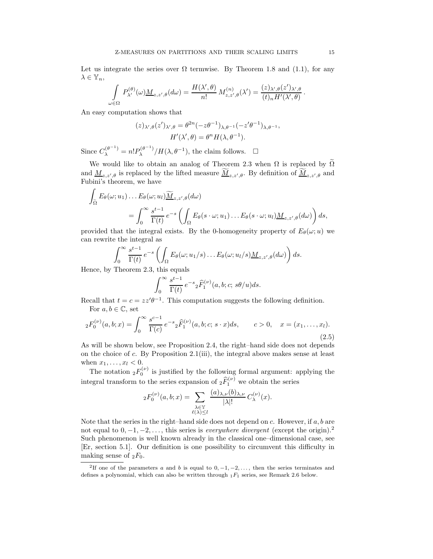Let us integrate the series over  $\Omega$  termwise. By Theorem 1.8 and (1.1), for any  $\lambda \in \mathbb{Y}_n$ ,

$$
\int_{\omega \in \Omega} P_{\lambda'}^{(\theta)}(\omega) \underline{M}_{z,z',\theta}(d\omega) = \frac{H(\lambda',\theta)}{n!} M_{z,z',\theta}^{(n)}(\lambda') = \frac{(z)_{\lambda',\theta}(z')_{\lambda',\theta}}{(t)_n H'(\lambda',\theta)}.
$$

An easy computation shows that

$$
(z)_{\lambda',\theta}(z')_{\lambda',\theta} = \theta^{2n}(-z\theta^{-1})_{\lambda,\theta^{-1}}(-z'\theta^{-1})_{\lambda,\theta^{-1}},
$$
  

$$
H'(\lambda',\theta) = \theta^n H(\lambda,\theta^{-1}).
$$

Since  $C_{\lambda}^{(\theta^{-1})} = n! P_{\lambda}^{(\theta^{-1})}$  $\lambda^{(\theta^{-1})}/H(\lambda, \theta^{-1}),$  the claim follows.  $\Box$ 

We would like to obtain an analog of Theorem 2.3 when  $\Omega$  is replaced by  $\widetilde{\Omega}$ and  $\underline{M}_{z,z',\theta}$  is replaced by the lifted measure  $\underline{M}_{z,z',\theta}$ . By definition of  $\underline{M}_{z,z',\theta}$  and Fubini's theorem, we have

$$
\int_{\tilde{\Omega}} E_{\theta}(\omega; u_1) \dots E_{\theta}(\omega; u_l) \widetilde{\underline{M}}_{z, z', \theta}(d\omega)
$$
\n
$$
= \int_0^\infty \frac{s^{t-1}}{\Gamma(t)} e^{-s} \left( \int_{\Omega} E_{\theta}(s \cdot \omega; u_1) \dots E_{\theta}(s \cdot \omega; u_l) \underline{M}_{z, z', \theta}(d\omega) \right) ds,
$$

provided that the integral exists. By the 0-homogeneity property of  $E_{\theta}(\omega; u)$  we can rewrite the integral as

$$
\int_0^\infty \frac{s^{t-1}}{\Gamma(t)} e^{-s} \left( \int_\Omega E_\theta(\omega; u_1/s) \dots E_\theta(\omega; u_l/s) \underline{M}_{z,z',\theta}(d\omega) \right) ds.
$$
  
Theorem 2.3, this equals

Hence, by Theorem 2.3, this equals

$$
\int_0^\infty \frac{s^{t-1}}{\Gamma(t)} e^{-s} {}_2\widehat{F}_1^{(\nu)}(a,b;c;s\theta/u)ds.
$$

Recall that  $t = c = zz'\theta^{-1}$ . This computation suggests the following definition. For  $a, b \in \mathbb{C}$ , set

$$
{}_2F_0^{(\nu)}(a,b;x) = \int_0^\infty \frac{s^{c-1}}{\Gamma(c)} e^{-s} {}_2\widehat{F}_1^{(\nu)}(a,b;c;s \cdot x) ds, \qquad c > 0, \quad x = (x_1, \dots, x_l).
$$
\n(2.5)

As will be shown below, see Proposition 2.4, the right–hand side does not depends on the choice of c. By Proposition 2.1(iii), the integral above makes sense at least when  $x_1, \ldots, x_l < 0$ .

The notation  ${}_2F_0^{(\nu)}$  is justified by the following formal argument: applying the integral transform to the series expansion of  ${}_{2}\hat{F}_{1}^{(\nu)}$  we obtain the series

$$
{}_2F_0^{(\nu)}(a,b;x) = \sum_{\substack{\lambda \in \mathbb{Y} \\ \ell(\lambda) \le l}} \frac{(a)_{\lambda,\nu}(b)_{\lambda,\nu}}{|\lambda|!} C_{\lambda}^{(\nu)}(x).
$$

Note that the series in the right–hand side does not depend on  $c$ . However, if  $a, b$  are not equal to  $0, -1, -2, \ldots$ , this series is *everywhere divergent* (except the origin).<sup>2</sup> Such phenomenon is well known already in the classical one–dimensional case, see [Er, section 5.1]. Our definition is one possibility to circumvent this difficulty in making sense of  $_2F_0$ .

<sup>&</sup>lt;sup>2</sup>If one of the parameters a and b is equal to  $0, -1, -2, \ldots$ , then the series terminates and defines a polynomial, which can also be written through  $_1F_1$  series, see Remark 2.6 below.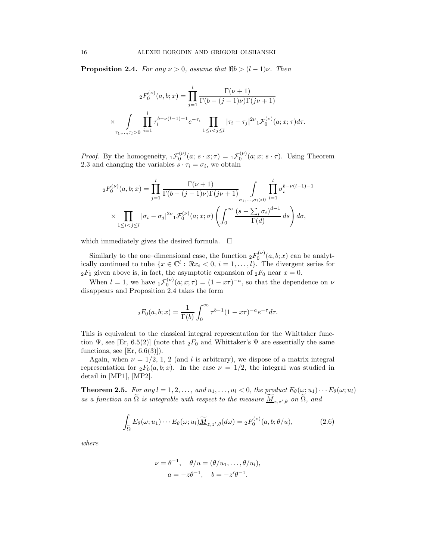**Proposition 2.4.** For any  $\nu > 0$ , assume that  $\Re b > (l-1)\nu$ . Then

$$
{}_2F_0^{(\nu)}(a,b;x) = \prod_{j=1}^l \frac{\Gamma(\nu+1)}{\Gamma(b-(j-1)\nu)\Gamma(j\nu+1)}
$$
  
 
$$
\times \int\limits_{\tau_1,\ldots,\tau_l>0} \prod_{i=1}^l \tau_i^{b-\nu(l-1)-1} e^{-\tau_i} \prod_{1 \leq i < j \leq l} |\tau_i - \tau_j|^{2\nu} {}_1\mathcal{F}_0^{(\nu)}(a;x;\tau) d\tau.
$$

*Proof.* By the homogeneity,  ${}_{1}\mathcal{F}_{0}^{(\nu)}(a; s \cdot x; \tau) = {}_{1}\mathcal{F}_{0}^{(\nu)}(a; x; s \cdot \tau)$ . Using Theorem 2.3 and changing the variables  $s \cdot \tau_i = \sigma_i$ , we obtain

$$
{}_2F_0^{(\nu)}(a,b;x) = \prod_{j=1}^l \frac{\Gamma(\nu+1)}{\Gamma(b-(j-1)\nu)\Gamma(j\nu+1)} \int_{\sigma_1,\ldots,\sigma_l>0} \prod_{i=1}^l \sigma_i^{b-\nu(l-1)-1}
$$

$$
\times \prod_{1 \le i < j \le l} |\sigma_i - \sigma_j|^{2\nu} {}_1\mathcal{F}_0^{(\nu)}(a;x;\sigma) \left(\int_0^\infty \frac{(s-\sum_i \sigma_i)^{d-1}}{\Gamma(d)} ds\right) d\sigma,
$$

which immediately gives the desired formula.  $\Box$ 

Similarly to the one-dimensional case, the function  ${}_2F_0^{(\nu)}(a,b;x)$  can be analytically continued to tube  $\{x \in \mathbb{C}^l : \Re x_i < 0, i = 1, \ldots, l\}$ . The divergent series for  $2F_0$  given above is, in fact, the asymptotic expansion of  $2F_0$  near  $x = 0$ .

When  $l = 1$ , we have  ${}_{1} \mathcal{F}_{0}^{(\nu)}(a; x; \tau) = (1 - x\tau)^{-a}$ , so that the dependence on  $\nu$ disappears and Proposition 2.4 takes the form

$$
{}_2F_0(a,b;x) = \frac{1}{\Gamma(b)} \int_0^\infty \tau^{b-1} (1 - x\tau)^{-a} e^{-\tau} d\tau.
$$

This is equivalent to the classical integral representation for the Whittaker function  $\Psi$ , see [Er, 6.5(2)] (note that  ${}_2F_0$  and Whittaker's  $\Psi$  are essentially the same functions, see  $[Er, 6.6(3)]$ .

Again, when  $\nu = 1/2, 1, 2$  (and l is arbitrary), we dispose of a matrix integral representation for  ${}_2F_0(a, b; x)$ . In the case  $\nu = 1/2$ , the integral was studied in detail in [MP1], [MP2].

**Theorem 2.5.** For any  $l = 1, 2, ...,$  and  $u_1, ..., u_l < 0$ , the product  $E_\theta(\omega; u_1) \cdots E_\theta(\omega; u_l)$ as a function on  $\Omega$  is integrable with respect to the measure  $\underline{M}_{z,z',\theta}$  on  $\Omega$ , and

$$
\int_{\tilde{\Omega}} E_{\theta}(\omega; u_1) \cdots E_{\theta}(\omega; u_l) \widetilde{\underline{M}}_{z, z', \theta}(d\omega) = {}_2F_0^{(\nu)}(a, b; \theta/u), \tag{2.6}
$$

where

$$
\nu = \theta^{-1}, \quad \theta/u = (\theta/u_1, \dots, \theta/u_l),
$$
  

$$
a = -z\theta^{-1}, \quad b = -z'\theta^{-1}.
$$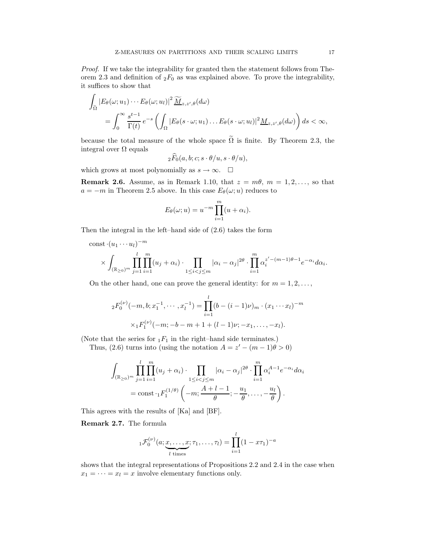Proof. If we take the integrability for granted then the statement follows from Theorem 2.3 and definition of  ${}_2F_0$  as was explained above. To prove the integrability, it suffices to show that

$$
\int_{\tilde{\Omega}} |E_{\theta}(\omega; u_1) \cdots E_{\theta}(\omega; u_l)|^2 \widetilde{\underline{M}}_{z, z', \theta}(d\omega)
$$
\n
$$
= \int_0^\infty \frac{s^{t-1}}{\Gamma(t)} e^{-s} \left( \int_{\Omega} |E_{\theta}(s \cdot \omega; u_1) \dots E_{\theta}(s \cdot \omega; u_l)|^2 \underline{M}_{z, z', \theta}(d\omega) \right) ds < \infty,
$$

because the total measure of the whole space  $\tilde{\Omega}$  is finite. By Theorem 2.3, the integral over Ω equals

$$
{}_2F_0(a,b;c;s\cdot\theta/u,s\cdot\theta/u),
$$

which grows at most polynomially as  $s \to \infty$ .  $\square$ 

**Remark 2.6.** Assume, as in Remark 1.10, that  $z = m\theta$ ,  $m = 1, 2, \ldots$ , so that  $a = -m$  in Theorem 2.5 above. In this case  $E_{\theta}(\omega; u)$  reduces to

$$
E_{\theta}(\omega; u) = u^{-m} \prod_{i=1}^{m} (u + \alpha_i).
$$

Then the integral in the left–hand side of (2.6) takes the form

const 
$$
\cdot (u_1 \cdots u_l)^{-m}
$$
  
\n
$$
\times \int_{(\mathbb{R}_{\geq 0})^m} \prod_{j=1}^l \prod_{i=1}^m (u_j + \alpha_i) \cdot \prod_{1 \leq i < j \leq m} |\alpha_i - \alpha_j|^{2\theta} \cdot \prod_{i=1}^m \alpha_i^{z' - (m-1)\theta - 1} e^{-\alpha_i} d\alpha_i.
$$

On the other hand, one can prove the general identity: for  $m = 1, 2, \ldots$ ,

$$
{}_{2}F_{0}^{(\nu)}(-m, b; x_{1}^{-1}, \cdots, x_{l}^{-1}) = \prod_{i=1}^{l} (b - (i-1)\nu)_{m} \cdot (x_{1} \cdots x_{l})^{-m}
$$

$$
\times {}_{1}F_{1}^{(\nu)}(-m; -b - m + 1 + (l - 1)\nu; -x_{1}, \dots, -x_{l}).
$$

(Note that the series for  $_1F_1$  in the right–hand side terminates.)

Thus, (2.6) turns into (using the notation  $A = z' - (m - 1)\theta > 0$ )

$$
\int_{(\mathbb{R}_{\geq 0})^m} \prod_{j=1}^l \prod_{i=1}^m (u_j + \alpha_i) \cdot \prod_{1 \leq i < j \leq m} |\alpha_i - \alpha_j|^{2\theta} \cdot \prod_{i=1}^m \alpha_i^{A-1} e^{-\alpha_i} d\alpha_i
$$
\n
$$
= \text{const} \cdot {}_1F_1^{(1/\theta)} \left( -m; \frac{A+l-1}{\theta}; -\frac{u_1}{\theta}, \dots, -\frac{u_l}{\theta} \right).
$$

This agrees with the results of [Ka] and [BF].

Remark 2.7. The formula

$$
{}_{1}\mathcal{F}_0^{(\nu)}(a; \underbrace{x, \dots, x}_{l \text{ times}}; \tau_1, \dots, \tau_l) = \prod_{i=1}^l (1 - x\tau_1)^{-a}
$$

shows that the integral representations of Propositions 2.2 and 2.4 in the case when  $x_1 = \cdots = x_l = x$  involve elementary functions only.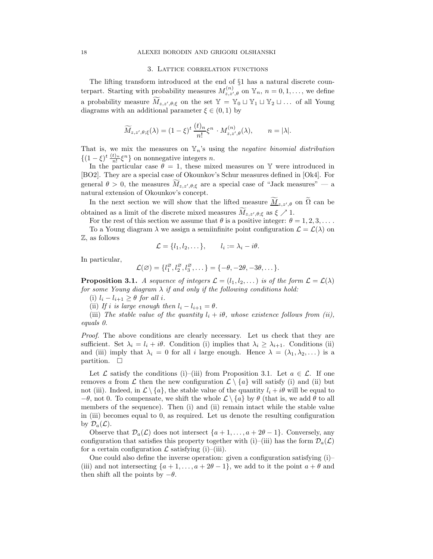### 3. Lattice correlation functions

The lifting transform introduced at the end of §1 has a natural discrete counterpart. Starting with probability measures  $M_{z,z',\theta}^{(n)}$  on  $\mathbb{Y}_n$ ,  $n = 0,1,\ldots$ , we define a probability measure  $\widetilde{M}_{z,z',\theta,\xi}$  on the set  $\mathbb{Y} = \mathbb{Y}_0 \sqcup \mathbb{Y}_1 \sqcup \mathbb{Y}_2 \sqcup \ldots$  of all Young diagrams with an additional parameter  $\xi \in (0,1)$  by

$$
\widetilde{M}_{z,z',\theta;\xi}(\lambda) = (1-\xi)^t \, \frac{(t)_n}{n!} \xi^n \, \cdot M_{z,z',\theta}^{(n)}(\lambda), \qquad n = |\lambda|.
$$

That is, we mix the measures on  $\mathbb{Y}_n$ 's using the *negative binomial distribution*  $\{(1-\xi)^t \frac{(t)_n}{n!} \xi^n\}$  on nonnegative integers *n*.

In the particular case  $\theta = 1$ , these mixed measures on Y were introduced in [BO2]. They are a special case of Okounkov's Schur measures defined in [Ok4]. For general  $\theta > 0$ , the measures  $M_{z,z',\theta,\xi}$  are a special case of "Jack measures" — a natural extension of Okounkov's concept.

In the next section we will show that the lifted measure  $\underline{M}_{z,z',\theta}$  on  $\Omega$  can be obtained as a limit of the discrete mixed measures  $M_{z,z',\theta,\xi}$  as  $\xi \nearrow 1$ .

For the rest of this section we assume that  $\theta$  is a positive integer:  $\theta = 1, 2, 3, \ldots$ . To a Young diagram  $\lambda$  we assign a semiinfinite point configuration  $\mathcal{L} = \mathcal{L}(\lambda)$  on Z, as follows

 $\mathcal{L} = \{l_1, l_2, \dots\}, \qquad l_i := \lambda_i - i\theta.$ 

$$
10110W5
$$

In particular,

$$
\mathcal{L}(\varnothing) = \{l_1^{\varnothing}, l_2^{\varnothing}, l_3^{\varnothing}, \ldots\} = \{-\theta, -2\theta, -3\theta, \ldots\}.
$$

**Proposition 3.1.** A sequence of integers  $\mathcal{L} = (l_1, l_2, \dots)$  is of the form  $\mathcal{L} = \mathcal{L}(\lambda)$ for some Young diagram  $\lambda$  if and only if the following conditions hold:

(i)  $l_i - l_{i+1} \geq \theta$  for all i.

(ii) If i is large enough then  $l_i - l_{i+1} = \theta$ .

(iii) The stable value of the quantity  $l_i + i\theta$ , whose existence follows from (ii), equals 0.

Proof. The above conditions are clearly necessary. Let us check that they are sufficient. Set  $\lambda_i = l_i + i\theta$ . Condition (i) implies that  $\lambda_i \geq \lambda_{i+1}$ . Conditions (ii) and (iii) imply that  $\lambda_i = 0$  for all i large enough. Hence  $\lambda = (\lambda_1, \lambda_2, \dots)$  is a partition.  $\square$ 

Let  $\mathcal L$  satisfy the conditions (i)–(iii) from Proposition 3.1. Let  $a \in \mathcal L$ . If one removes a from L then the new configuration  $\mathcal{L} \setminus \{a\}$  will satisfy (i) and (ii) but not (iii). Indeed, in  $\mathcal{L} \setminus \{a\}$ , the stable value of the quantity  $l_i + i\theta$  will be equal to  $-\theta$ , not 0. To compensate, we shift the whole  $\mathcal{L}\setminus\{a\}$  by  $\theta$  (that is, we add  $\theta$  to all members of the sequence). Then (i) and (ii) remain intact while the stable value in (iii) becomes equal to 0, as required. Let us denote the resulting configuration by  $\mathcal{D}_a(\mathcal{L})$ .

Observe that  $\mathcal{D}_a(\mathcal{L})$  does not intersect  $\{a+1,\ldots,a+2\theta-1\}$ . Conversely, any configuration that satisfies this property together with (i)–(iii) has the form  $\mathcal{D}_a(\mathcal{L})$ for a certain configuration  $\mathcal L$  satisfying (i)–(iii).

One could also define the inverse operation: given a configuration satisfying (i)– (iii) and not intersecting  $\{a+1,\ldots,a+2\theta-1\}$ , we add to it the point  $a+\theta$  and then shift all the points by  $-\theta$ .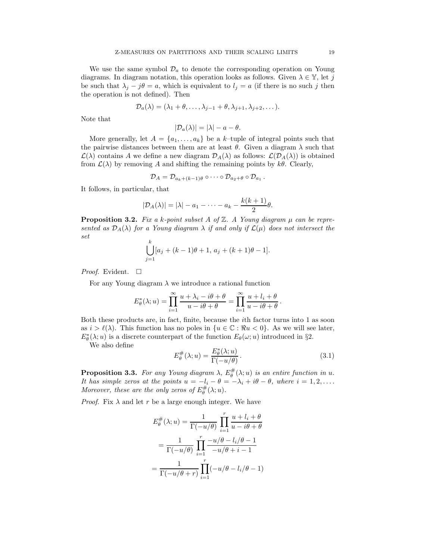We use the same symbol  $\mathcal{D}_a$  to denote the corresponding operation on Young diagrams. In diagram notation, this operation looks as follows. Given  $\lambda \in \mathbb{Y}$ , let j be such that  $\lambda_j - j\theta = a$ , which is equivalent to  $l_j = a$  (if there is no such j then the operation is not defined). Then

$$
\mathcal{D}_a(\lambda) = (\lambda_1 + \theta, \dots, \lambda_{j-1} + \theta, \lambda_{j+1}, \lambda_{j+2}, \dots).
$$

Note that

$$
|\mathcal{D}_a(\lambda)| = |\lambda| - a - \theta.
$$

More generally, let  $A = \{a_1, \ldots, a_k\}$  be a k-tuple of integral points such that the pairwise distances between them are at least  $\theta$ . Given a diagram  $\lambda$  such that  $\mathcal{L}(\lambda)$  contains A we define a new diagram  $\mathcal{D}_A(\lambda)$  as follows:  $\mathcal{L}(\mathcal{D}_A(\lambda))$  is obtained from  $\mathcal{L}(\lambda)$  by removing A and shifting the remaining points by  $k\theta$ . Clearly,

$$
\mathcal{D}_A=\mathcal{D}_{a_k+(k-1)\theta}\circ\cdots\circ\mathcal{D}_{a_2+\theta}\circ\mathcal{D}_{a_1}.
$$

It follows, in particular, that

$$
|\mathcal{D}_A(\lambda)|=|\lambda|-a_1-\cdots-a_k-\frac{k(k+1)}{2}\theta.
$$

**Proposition 3.2.** Fix a k-point subset A of  $\mathbb{Z}$ . A Young diagram  $\mu$  can be represented as  $\mathcal{D}_A(\lambda)$  for a Young diagram  $\lambda$  if and only if  $\mathcal{L}(\mu)$  does not intersect the set

$$
\bigcup_{j=1}^{k} [a_j + (k-1)\theta + 1, a_j + (k+1)\theta - 1].
$$

*Proof.* Evident.  $\Box$ 

For any Young diagram  $\lambda$  we introduce a rational function

$$
E_{\theta}^{*}(\lambda; u) = \prod_{i=1}^{\infty} \frac{u + \lambda_i - i\theta + \theta}{u - i\theta + \theta} = \prod_{i=1}^{\infty} \frac{u + l_i + \theta}{u - i\theta + \theta}.
$$

Both these products are, in fact, finite, because the ith factor turns into 1 as soon as  $i > \ell(\lambda)$ . This function has no poles in  $\{u \in \mathbb{C} : \Re u < 0\}$ . As we will see later,  $E_{\theta}^*(\lambda; u)$  is a discrete counterpart of the function  $E_{\theta}(\omega; u)$  introduced in §2.

We also define

$$
E_{\theta}^{\#}(\lambda; u) = \frac{E_{\theta}^{*}(\lambda; u)}{\Gamma(-u/\theta)}.
$$
\n(3.1)

**Proposition 3.3.** For any Young diagram  $\lambda$ ,  $E_{\theta}^{\#}(\lambda; u)$  is an entire function in u. It has simple zeros at the points  $u = -l_i - \theta = -\lambda_i + i\theta - \theta$ , where  $i = 1, 2, \ldots$ . Moreover, these are the only zeros of  $E^{\#}_{\theta}(\lambda; u)$ .

*Proof.* Fix  $\lambda$  and let r be a large enough integer. We have

$$
E_{\theta}^{\#}(\lambda; u) = \frac{1}{\Gamma(-u/\theta)} \prod_{i=1}^{r} \frac{u + l_i + \theta}{u - i\theta + \theta}
$$

$$
= \frac{1}{\Gamma(-u/\theta)} \prod_{i=1}^{r} \frac{-u/\theta - l_i/\theta - 1}{-u/\theta + i - 1}
$$

$$
= \frac{1}{\Gamma(-u/\theta + r)} \prod_{i=1}^{r} (-u/\theta - l_i/\theta - 1)
$$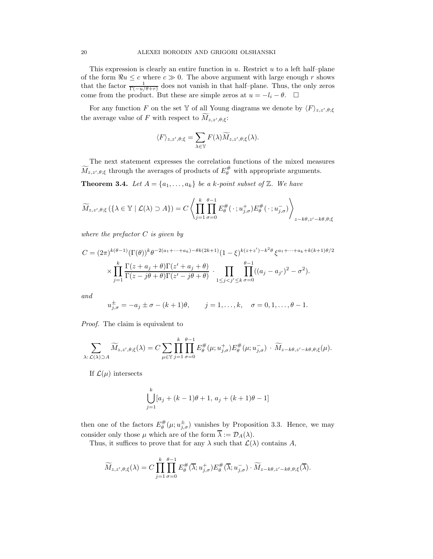This expression is clearly an entire function in  $u$ . Restrict  $u$  to a left half-plane of the form  $\Re u \leq c$  where  $c \gg 0$ . The above argument with large enough r shows that the factor  $\frac{1}{\Gamma(-u/\theta+r)}$  does not vanish in that half-plane. Thus, the only zeros come from the product. But these are simple zeros at  $u = -l_i - \theta$ .  $\Box$ 

For any function F on the set Y of all Young diagrams we denote by  $\langle F \rangle_{z,z',\theta;\xi}$ the average value of F with respect to  $M_{z,z',\theta,\xi}$ :

$$
\langle F \rangle_{z,z',\theta;\xi} = \sum_{\lambda \in \mathbb{Y}} F(\lambda) \widetilde{M}_{z,z',\theta;\xi}(\lambda).
$$

The next statement expresses the correlation functions of the mixed measures  $\widetilde{M}_{z,z',\theta;\xi}$  through the averages of products of  $E_{\theta}^{\#}$  with appropriate arguments.

**Theorem 3.4.** Let  $A = \{a_1, \ldots, a_k\}$  be a k-point subset of  $\mathbb{Z}$ . We have

$$
\widetilde{M}_{z,z',\theta;\xi}\left(\{\lambda \in \mathbb{Y} \mid \mathcal{L}(\lambda) \supset A\}\right) = C \left\langle \prod_{j=1}^k \prod_{\sigma=0}^{\theta-1} E_{\theta}^{\#}(\cdot \,; u_{j,\sigma}^+) E_{\theta}^{\#}(\cdot \,; u_{j,\sigma}^-) \right\rangle_{z-k\theta,z'-k\theta,\theta;\xi}
$$

where the prefactor  $C$  is given by

$$
C = (2\pi)^{k(\theta-1)} (\Gamma(\theta))^k \theta^{-2(a_1 + \dots + a_k) - \theta k(2k+1)} (1 - \xi)^{k(z+z') - k^2 \theta} \xi^{a_1 + \dots + a_k + k(k+1)\theta/2}
$$
  
\$\times \prod\_{j=1}^k \frac{\Gamma(z + a\_j + \theta) \Gamma(z' + a\_j + \theta)}{\Gamma(z - j\theta + \theta) \Gamma(z' - j\theta + \theta)} \cdot \prod\_{1 \le j < j' \le k} \prod\_{\sigma=0}^{\theta-1} ((a\_j - a\_{j'})^2 - \sigma^2).

and

$$
u_{j,\sigma}^{\pm} = -a_j \pm \sigma - (k+1)\theta
$$
,  $j = 1,...,k$ ,  $\sigma = 0, 1,..., \theta - 1$ .

Proof. The claim is equivalent to

$$
\sum_{\lambda:\mathcal{L}(\lambda)\supset A} \widetilde{M}_{z,z',\theta;\xi}(\lambda) = C \sum_{\mu \in \mathbb{Y}} \prod_{j=1}^k \prod_{\sigma=0}^{\theta-1} E_\theta^{\#}(\mu; u_{j,\sigma}^+) E_\theta^{\#}(\mu; u_{j,\sigma}^-) \cdot \widetilde{M}_{z-k\theta,z'-k\theta,\theta;\xi}(\mu).
$$

If  $\mathcal{L}(\mu)$  intersects

$$
\bigcup_{j=1}^{k} [a_j + (k-1)\theta + 1, a_j + (k+1)\theta - 1]
$$

then one of the factors  $E_{\theta}^{\#}(\mu; u_{j,\sigma}^{\pm})$  vanishes by Proposition 3.3. Hence, we may consider only those  $\mu$  which are of the form  $\overline{\lambda} := \mathcal{D}_A(\lambda)$ .

Thus, it suffices to prove that for any  $\lambda$  such that  $\mathcal{L}(\lambda)$  contains A,

$$
\widetilde{M}_{z,z',\theta;\xi}(\lambda) = C \prod_{j=1}^k \prod_{\sigma=0}^{\theta-1} E_\theta^{\#}(\overline{\lambda}; u_{j,\sigma}^+) E_\theta^{\#}(\overline{\lambda}; u_{j,\sigma}^-) \cdot \widetilde{M}_{z-k\theta, z'-k\theta, \theta; \xi}(\overline{\lambda}).
$$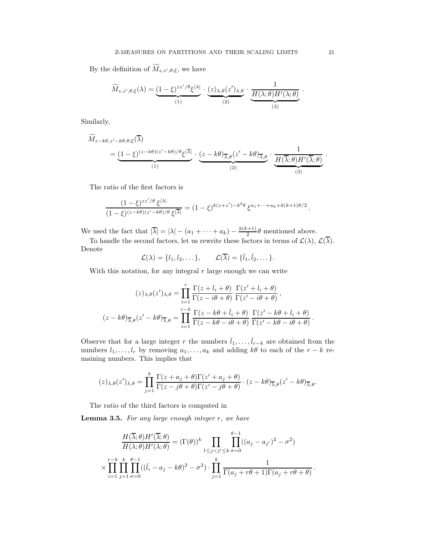By the definition of  $M_{z,z',\theta;\xi}$ , we have

$$
\widetilde{M}_{z,z',\theta;\xi}(\lambda) = \underbrace{(1-\xi)^{zz'/\theta}\xi^{|\lambda|}}_{(1)} \cdot \underbrace{(z)_{\lambda,\theta}(z')_{\lambda,\theta}}_{(2)} \cdot \underbrace{\frac{1}{H(\lambda;\theta)H'(\lambda;\theta)}}_{(3)}.
$$

Similarly,

$$
\widetilde{M}_{z-k\theta,z'-k\theta,\theta;\xi}(\overline{\lambda}) = \underbrace{(1-\xi)^{(z-k\theta)(z'-k\theta)/\theta} \xi^{|\overline{\lambda}|}}_{(1)} \cdot \underbrace{(z-k\theta)_{\overline{\lambda},\theta}(z'-k\theta)_{\overline{\lambda},\theta}}_{(2)} \cdot \underbrace{\frac{1}{H(\overline{\lambda};\theta)H'(\overline{\lambda};\theta)}}_{(3)}.
$$

The ratio of the first factors is

$$
\frac{(1-\xi)^{zz'/\theta} \xi^{|\lambda|}}{(1-\xi)^{(z-k\theta)(z'-k\theta)/\theta} \xi^{|\overline{\lambda}|}} = (1-\xi)^{k(z+z')-k^2\theta} \xi^{a_1+\cdots+a_k+k(k+1)\theta/2}.
$$

We used the fact that  $|\overline{\lambda}| = |\lambda| - (a_1 + \cdots + a_k) - \frac{k(k+1)}{2}$  $\frac{(n+1)}{2}\theta$  mentioned above.

To handle the second factors, let us rewrite these factors in terms of  $\mathcal{L}(\lambda)$ ,  $\mathcal{L}(\lambda)$ . Denote

$$
\mathcal{L}(\lambda) = \{l_1, l_2, \dots\}, \qquad \mathcal{L}(\overline{\lambda}) = \{\overline{l}_1, \overline{l}_2, \dots\}.
$$

With this notation, for any integral  $r$  large enough we can write

$$
(z)_{\lambda,\theta}(z')_{\lambda,\theta} = \prod_{i=1}^r \frac{\Gamma(z + l_i + \theta)}{\Gamma(z - i\theta + \theta)} \frac{\Gamma(z' + l_i + \theta)}{\Gamma(z' - i\theta + \theta)},
$$

$$
(z - k\theta)_{\overline{\lambda},\theta}(z' - k\theta)_{\overline{\lambda},\theta} = \prod_{i=1}^{r-k} \frac{\Gamma(z - k\theta + \overline{l}_i + \theta)}{\Gamma(z - k\theta - i\theta + \theta)} \frac{\Gamma(z' - k\theta + l_i + \theta)}{\Gamma(z' - k\theta - i\theta + \theta)}.
$$

Observe that for a large integer r the numbers  $\bar{l}_1, \ldots, \bar{l}_{r-k}$  are obtained from the numbers  $l_1, \ldots, l_r$  by removing  $a_1, \ldots, a_k$  and adding  $k\theta$  to each of the  $r - k$  remaining numbers. This implies that

$$
(z)_{\lambda,\theta}(z')_{\lambda,\theta} = \prod_{j=1}^k \frac{\Gamma(z+a_j+\theta)\Gamma(z'+a_j+\theta)}{\Gamma(z-j\theta+\theta)\Gamma(z'-j\theta+\theta)} \cdot (z-k\theta)_{\overline{\lambda},\theta}(z'-k\theta)_{\overline{\lambda},\theta}.
$$

The ratio of the third factors is computed in

**Lemma 3.5.** For any large enough integer  $r$ , we have

$$
\frac{H(\overline{\lambda};\theta)H'(\overline{\lambda};\theta)}{H(\lambda;\theta)H'(\lambda;\theta)} = (\Gamma(\theta))^k \prod_{1 \le j < j' \le k} \prod_{\sigma=0}^{\theta-1} ((a_j - a_{j'})^2 - \sigma^2)
$$
\n
$$
\times \prod_{i=1}^{r-k} \prod_{j=1}^k \prod_{\sigma=0}^{\theta-1} ((\overline{l}_i - a_j - k\theta)^2 - \sigma^2) \cdot \prod_{j=1}^k \frac{1}{\Gamma(a_j + r\theta + 1)\Gamma(a_j + r\theta + \theta)}.
$$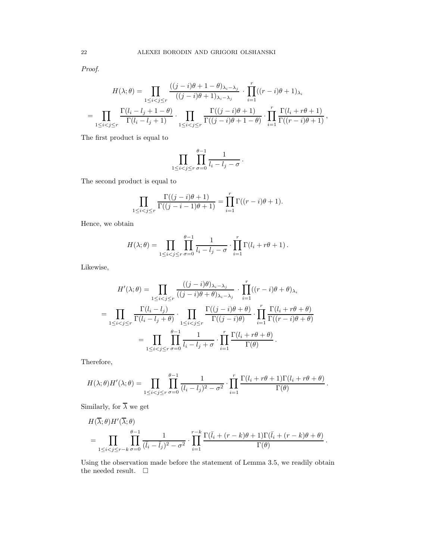Proof.

$$
H(\lambda; \theta) = \prod_{1 \leq i < j \leq r} \frac{\left((j-i)\theta + 1 - \theta\right)\lambda_i - \lambda_j}{\left((j-i)\theta + 1\right)\lambda_{i - \lambda_j}} \cdot \prod_{i=1}^r \left((r-i)\theta + 1\right)\lambda_i
$$
\n
$$
= \prod_{1 \leq i < j \leq r} \frac{\Gamma(l_i - l_j + 1 - \theta)}{\Gamma(l_i - l_j + 1)} \cdot \prod_{1 \leq i < j \leq r} \frac{\Gamma((j-i)\theta + 1)}{\Gamma((j-i)\theta + 1 - \theta)} \cdot \prod_{i=1}^r \frac{\Gamma(l_i + r\theta + 1)}{\Gamma((r-i)\theta + 1)},
$$

The first product is equal to

$$
\prod_{1 \leq i < j \leq r} \prod_{\sigma=0}^{\theta-1} \frac{1}{l_i - l_j - \sigma} \, .
$$

The second product is equal to

$$
\prod_{1 \leq i < j \leq r} \frac{\Gamma((j-i)\theta + 1)}{\Gamma((j-i-1)\theta + 1)} = \prod_{i=1}^r \Gamma((r-i)\theta + 1).
$$

Hence, we obtain

$$
H(\lambda;\theta) = \prod_{1 \leq i < j \leq r} \prod_{\sigma=0}^{\theta-1} \frac{1}{l_i - l_j - \sigma} \cdot \prod_{i=1}^r \Gamma(l_i + r\theta + 1) \, .
$$

Likewise,

$$
H'(\lambda; \theta) = \prod_{1 \leq i < j \leq r} \frac{((j - i)\theta)_{\lambda_i - \lambda_j}}{((j - i)\theta + \theta)_{\lambda_i - \lambda_j}} \cdot \prod_{i = 1}^r ((r - i)\theta + \theta)_{\lambda_i}
$$
\n
$$
= \prod_{1 \leq i < j \leq r} \frac{\Gamma(l_i - l_j)}{\Gamma(l_i - l_j + \theta)} \cdot \prod_{1 \leq i < j \leq r} \frac{\Gamma((j - i)\theta + \theta)}{\Gamma((j - i)\theta)} \cdot \prod_{i = 1}^r \frac{\Gamma(l_i + r\theta + \theta)}{\Gamma((r - i)\theta + \theta)}
$$
\n
$$
= \prod_{1 \leq i < j \leq r} \prod_{\sigma = 0}^{\theta - 1} \frac{1}{l_i - l_j + \sigma} \cdot \prod_{i = 1}^r \frac{\Gamma(l_i + r\theta + \theta)}{\Gamma(\theta)}.
$$

Therefore,

$$
H(\lambda;\theta)H'(\lambda;\theta) = \prod_{1 \leq i < j \leq r} \prod_{\sigma=0}^{\theta-1} \frac{1}{(l_i - l_j)^2 - \sigma^2} \cdot \prod_{i=1}^r \frac{\Gamma(l_i + r\theta + 1)\Gamma(l_i + r\theta + \theta)}{\Gamma(\theta)}.
$$

Similarly, for  $\overline{\lambda}$  we get

$$
H(\overline{\lambda};\theta)H'(\overline{\lambda};\theta)
$$
  
= 
$$
\prod_{1 \leq i < j \leq r-k} \prod_{\sigma=0}^{\theta-1} \frac{1}{(\overline{l}_i - \overline{l}_j)^2 - \sigma^2} \cdot \prod_{i=1}^{r-k} \frac{\Gamma(\overline{l}_i + (r-k)\theta + 1)\Gamma(\overline{l}_i + (r-k)\theta + \theta)}{\Gamma(\theta)}
$$

.

Using the observation made before the statement of Lemma 3.5, we readily obtain the needed result.  $\quad \Box$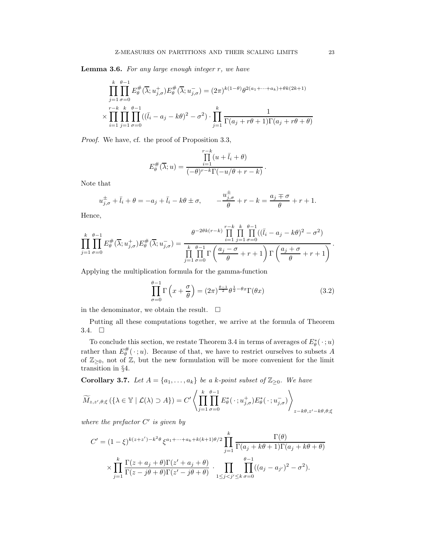**Lemma 3.6.** For any large enough integer  $r$ , we have

$$
\prod_{j=1}^{k} \prod_{\sigma=0}^{\theta-1} E_{\theta}^{\#}(\overline{\lambda}; u_{j,\sigma}^{+}) E_{\theta}^{\#}(\overline{\lambda}; u_{j,\sigma}^{-}) = (2\pi)^{k(1-\theta)} \theta^{2(a_1 + \dots + a_k) + \theta k(2k+1)}
$$
\n
$$
\times \prod_{i=1}^{r-k} \prod_{j=1}^{k} \prod_{\sigma=0}^{\theta-1} ((\overline{l}_i - a_j - k\theta)^2 - \sigma^2) \cdot \prod_{j=1}^{k} \frac{1}{\Gamma(a_j + r\theta + 1)\Gamma(a_j + r\theta + \theta)}
$$

Proof. We have, cf. the proof of Proposition 3.3,

$$
E_{\theta}^{\#}(\overline{\lambda}; u) = \frac{\prod_{i=1}^{r-k} (u + \overline{l}_{i} + \theta)}{(-\theta)^{r-k} \Gamma(-u/\theta + r - k)}
$$

Note that

$$
u_{j,\sigma}^{\pm} + \bar{l}_i + \theta = -a_j + \bar{l}_i - k\theta \pm \sigma, \qquad -\frac{u_{j,\sigma}^{\pm}}{\theta} + r - k = \frac{a_j \mp \sigma}{\theta} + r + 1.
$$

Hence,

$$
\prod_{j=1}^k \prod_{\sigma=0}^{\theta-1} E_\theta^{\#}(\overline{\lambda}; u_{j,\sigma}^+) E_\theta^{\#}(\overline{\lambda}; u_{j,\sigma}^-) = \frac{\theta^{-2\theta k(r-k)} \prod_{i=1}^{r-k} \prod_{j=1}^k \prod_{\sigma=0}^{\theta-1} ((\overline{l}_i - a_j - k\theta)^2 - \sigma^2)}{\prod_{j=1}^k \prod_{\sigma=0}^{\theta-1} \Gamma\left(\frac{a_j - \sigma}{\theta} + r + 1\right) \Gamma\left(\frac{a_j + \sigma}{\theta} + r + 1\right)}.
$$

Applying the multiplication formula for the gamma-function

$$
\prod_{\sigma=0}^{\theta-1} \Gamma\left(x + \frac{\sigma}{\theta}\right) = (2\pi)^{\frac{\theta-1}{2}} \theta^{\frac{1}{2} - \theta x} \Gamma(\theta x)
$$
\n(3.2)

.

in the denominator, we obtain the result.  $\quad \Box$ 

Putting all these computations together, we arrive at the formula of Theorem 3.4.  $\square$ 

To conclude this section, we restate Theorem 3.4 in terms of averages of  $E^*_{\theta}(\cdot; u)$ rather than  $E_{\theta}^{\#}(\cdot; u)$ . Because of that, we have to restrict ourselves to subsets A of  $\mathbb{Z}_{\geq 0}$ , not of  $\mathbb{Z}$ , but the new formulation will be more convenient for the limit transition in §4.

**Corollary 3.7.** Let  $A = \{a_1, \ldots, a_k\}$  be a k-point subset of  $\mathbb{Z}_{\geq 0}$ . We have

$$
\widetilde{M}_{z,z',\theta;\xi}\left(\{\lambda \in \mathbb{Y} \mid \mathcal{L}(\lambda) \supset A\}\right) = C' \left\langle \prod_{j=1}^k \prod_{\sigma=0}^{\theta-1} E^*_{\theta}(\cdot \, ; u^+_{j,\sigma}) E^*_{\theta}(\cdot \, ; u^-_{j,\sigma}) \right\rangle_{z-k\theta,z'-k\theta,\theta;\xi}
$$

where the prefactor  $C'$  is given by

$$
C' = (1 - \xi)^{k(z+z') - k^2 \theta} \xi^{a_1 + \dots + a_k + k(k+1)\theta/2} \prod_{j=1}^k \frac{\Gamma(\theta)}{\Gamma(a_j + k\theta + 1)\Gamma(a_j + k\theta + \theta)}
$$

$$
\times \prod_{j=1}^k \frac{\Gamma(z + a_j + \theta)\Gamma(z' + a_j + \theta)}{\Gamma(z - j\theta + \theta)\Gamma(z' - j\theta + \theta)} \cdot \prod_{1 \le j < j' \le k} \prod_{\sigma=0}^{\theta - 1} ((a_j - a_{j'})^2 - \sigma^2).
$$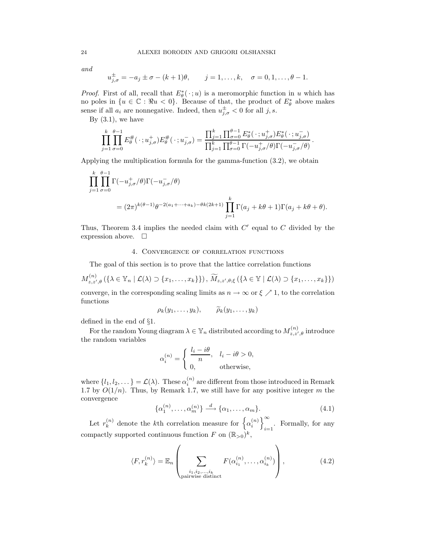and

$$
u_{j,\sigma}^{\pm} = -a_j \pm \sigma - (k+1)\theta, \qquad j = 1,\ldots,k, \quad \sigma = 0,1,\ldots,\theta-1.
$$

*Proof.* First of all, recall that  $E^*_{\theta}(\cdot; u)$  is a meromorphic function in u which has no poles in  $\{u \in \mathbb{C} : \Re u < 0\}$ . Because of that, the product of  $E^*_{\theta}$  above makes sense if all  $a_i$  are nonnegative. Indeed, then  $u_{j,\sigma}^{\pm} < 0$  for all j, s.

By  $(3.1)$ , we have

$$
\prod_{j=1}^k \prod_{\sigma=0}^{\theta-1} E_\theta^{\#}(\cdot; u_{j,\sigma}^+) E_\theta^{\#}(\cdot; u_{j,\sigma}^-) = \frac{\prod_{j=1}^k \prod_{\sigma=0}^{\theta-1} E_\theta^*(\cdot; u_{j,\sigma}^+) E_\theta^*(\cdot; u_{j,\sigma}^-)}{\prod_{j=1}^k \prod_{\sigma=0}^{\theta-1} \Gamma(-u_{j,\sigma}^+\theta) \Gamma(-u_{j,\sigma}^-\theta)}.
$$

Applying the multiplication formula for the gamma-function (3.2), we obtain

$$
\prod_{j=1}^k \prod_{\sigma=0}^{\theta-1} \Gamma(-u_{j,\sigma}^+/\theta) \Gamma(-u_{j,\sigma}^-/\theta)
$$
  
=  $(2\pi)^{k(\theta-1)} \theta^{-2(a_1+\cdots+a_k)-\theta k(2k+1)} \prod_{j=1}^k \Gamma(a_j + k\theta + 1) \Gamma(a_j + k\theta + \theta).$ 

Thus, Theorem 3.4 implies the needed claim with  $C'$  equal to  $C$  divided by the expression above.  $\square$ 

# 4. Convergence of correlation functions

The goal of this section is to prove that the lattice correlation functions

$$
M_{z,z',\theta}^{(n)}\left(\left\{\lambda\in\mathbb{Y}_n\mid\mathcal{L}(\lambda)\supset\{x_1,\ldots,x_k\}\right\}\right),\,\widetilde{M}_{z,z',\theta;\xi}\left(\left\{\lambda\in\mathbb{Y}\mid\mathcal{L}(\lambda)\supset\{x_1,\ldots,x_k\}\right\}\right)
$$

converge, in the corresponding scaling limits as  $n \to \infty$  or  $\xi \nearrow 1$ , to the correlation functions

$$
\rho_k(y_1,\ldots,y_k),\qquad \widetilde{\rho}_k(y_1,\ldots,y_k)
$$

defined in the end of §1.

For the random Young diagram  $\lambda \in \mathbb{Y}_n$  distributed according to  $M_{z,z',\theta}^{(n)}$  introduce the random variables

$$
\alpha_i^{(n)} = \begin{cases} \frac{l_i - i\theta}{n}, & l_i - i\theta > 0, \\ 0, & \text{otherwise,} \end{cases}
$$

where  $\{l_1, l_2, \dots\} = \mathcal{L}(\lambda)$ . These  $\alpha_i^{(n)}$  are different from those introduced in Remark 1.7 by  $O(1/n)$ . Thus, by Remark 1.7, we still have for any positive integer m the convergence

$$
\{\alpha_1^{(n)}, \dots, \alpha_m^{(n)}\} \xrightarrow{d} \{\alpha_1, \dots, \alpha_m\}.
$$
 (4.1)

Let  $r_k^{(n)}$  $\binom{n}{k}$  denote the *k*<sup>th</sup> correlation measure for  $\left\{ \alpha_i^{(n)} \right\}$  $\binom{n}{i}$  $\sum_{i=1}$ . Formally, for any compactly supported continuous function F on  $(\mathbb{R}_{>0})^k$ ,

$$
\langle F, r_k^{(n)} \rangle = \mathbb{E}_n \left( \sum_{\substack{i_1, i_2, \dots, i_k \\ \text{pairwise distinct}}} F(\alpha_{i_1}^{(n)}, \dots, \alpha_{i_k}^{(n)}) \right), \tag{4.2}
$$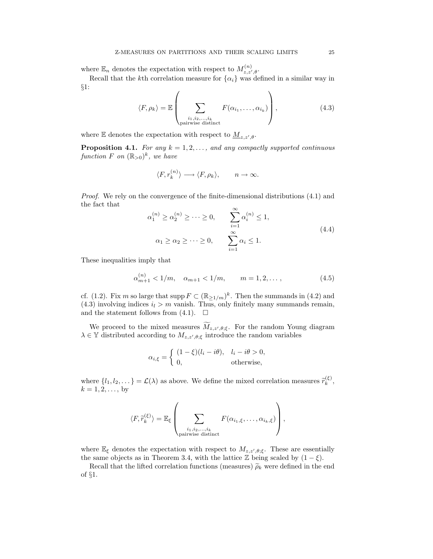where  $\mathbb{E}_n$  denotes the expectation with respect to  $M_{z,z',\theta}^{(n)}$ .

Recall that the kth correlation measure for  $\{\alpha_i\}$  was defined in a similar way in §1:

$$
\langle F, \rho_k \rangle = \mathbb{E} \left( \sum_{\substack{i_1, i_2, \dots, i_k \\ \text{pairwise distinct}}} F(\alpha_{i_1}, \dots, \alpha_{i_k}) \right), \tag{4.3}
$$

where  $\mathbb E$  denotes the expectation with respect to  $\underline{M}_{z,z',\theta}$ .

**Proposition 4.1.** For any  $k = 1, 2, \ldots$ , and any compactly supported continuous function F on  $(\mathbb{R}_{>0})^k$ , we have

$$
\langle F, r_k^{(n)} \rangle \longrightarrow \langle F, \rho_k \rangle, \qquad n \to \infty.
$$

Proof. We rely on the convergence of the finite-dimensional distributions (4.1) and the fact that

$$
\alpha_1^{(n)} \ge \alpha_2^{(n)} \ge \dots \ge 0, \qquad \sum_{i=1}^{\infty} \alpha_i^{(n)} \le 1,
$$
  

$$
\alpha_1 \ge \alpha_2 \ge \dots \ge 0, \qquad \sum_{i=1}^{\infty} \alpha_i \le 1.
$$
 (4.4)

These inequalities imply that

$$
\alpha_{m+1}^{(n)} < 1/m, \quad \alpha_{m+1} < 1/m, \qquad m = 1, 2, \dots \,, \tag{4.5}
$$

cf. (1.2). Fix m so large that supp  $F \subset (\mathbb{R}_{\geq 1/m})^k$ . Then the summands in (4.2) and (4.3) involving indices  $i_l > m$  vanish. Thus, only finitely many summands remain, and the statement follows from  $(4.1)$ .  $\Box$ 

We proceed to the mixed measures  $M_{z,z',\theta,\xi}$ . For the random Young diagram  $\lambda \in \mathbb{Y}$  distributed according to  $M_{z,z',\theta;\xi}$  introduce the random variables

$$
\alpha_{i,\xi} = \begin{cases} (1-\xi)(l_i - i\theta), & l_i - i\theta > 0, \\ 0, & \text{otherwise,} \end{cases}
$$

where  $\{l_1, l_2, \dots\} = \mathcal{L}(\lambda)$  as above. We define the mixed correlation measures  $\tilde{r}_k^{(\xi)}$  $\frac{\langle \varsigma \rangle}{k},$  $k = 1, 2, ...,$  by

$$
\langle F, \widetilde{r}_{k}^{(\xi)} \rangle = \mathbb{E}_{\xi} \left( \sum_{\substack{i_1, i_2, \dots, i_k \\ \text{pairwise distinct}}} F(\alpha_{i_1, \xi}, \dots, \alpha_{i_k, \xi}) \right),
$$

where  $\mathbb{E}_{\xi}$  denotes the expectation with respect to  $M_{z,z',\theta;\xi}$ . These are essentially the same objects as in Theorem 3.4, with the lattice  $\mathbb Z$  being scaled by  $(1 - \xi)$ .

Recall that the lifted correlation functions (measures)  $\tilde{\rho}_k$  were defined in the end of §1.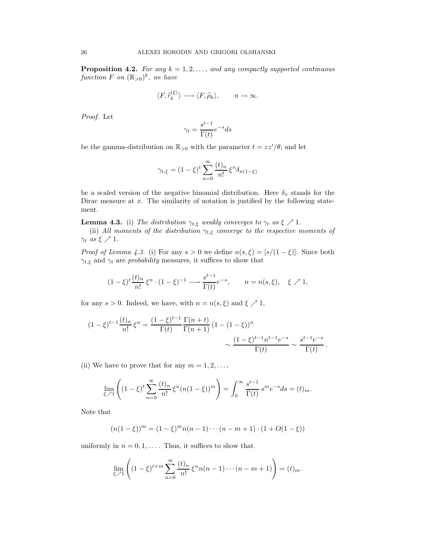**Proposition 4.2.** For any  $k = 1, 2, \ldots$ , and any compactly supported continuous function F on  $(\mathbb{R}_{>0})^k$ , we have

$$
\langle F, \widetilde r_k^{(\xi)} \rangle \longrightarrow \langle F, \widetilde{\rho}_k \rangle, \qquad n \to \infty.
$$

Proof. Let

$$
\gamma_t = \frac{s^{t-1}}{\Gamma(t)} e^{-s} ds
$$

be the gamma-distribution on  $\mathbb{R}_{>0}$  with the parameter  $t = zz'/\theta$ , and let

$$
\gamma_{t,\xi} = (1 - \xi)^t \sum_{n=0}^{\infty} \frac{(t)_n}{n!} \xi^n \delta_{n(1-\xi)}
$$

be a scaled version of the negative binomial distribution. Here  $\delta_x$  stands for the Dirac measure at  $x$ . The similarity of notation is justified by the following statement.

**Lemma 4.3.** (i) The distribution  $\gamma_{t,\xi}$  weakly converges to  $\gamma_t$  as  $\xi \nearrow 1$ .

(ii) All moments of the distribution  $\gamma_{t,\xi}$  converge to the respective moments of  $\gamma_t$  as  $\xi \nearrow 1$ .

*Proof of Lemma 4.3.* (i) For any  $s > 0$  we define  $n(s,\xi) = [s/(1-\xi)]$ . Since both  $\gamma_{t,\xi}$  and  $\gamma_t$  are *probability* measures, it suffices to show that

$$
(1 - \xi)^t \frac{(t)_n}{n!} \xi^n \cdot (1 - \xi)^{-1} \longrightarrow \frac{s^{t-1}}{\Gamma(t)} e^{-s}, \qquad n = n(s, \xi), \quad \xi \nearrow 1,
$$

for any  $s > 0$ . Indeed, we have, with  $n = n(s, \xi)$  and  $\xi \nearrow 1$ ,

$$
(1 - \xi)^{t-1} \frac{(t)_n}{n!} \xi^n = \frac{(1 - \xi)^{t-1}}{\Gamma(t)} \frac{\Gamma(n+t)}{\Gamma(n+1)} (1 - (1 - \xi))^n
$$

$$
\sim \frac{(1 - \xi)^{t-1} n^{t-1} e^{-s}}{\Gamma(t)} \sim \frac{s^{t-1} e^{-s}}{\Gamma(t)}.
$$

(ii) We have to prove that for any  $m = 1, 2, \ldots$ ,

$$
\lim_{\xi \nearrow 1} \left( (1 - \xi)^t \sum_{n=0}^{\infty} \frac{(t)_n}{n!} \xi^n (n(1 - \xi))^m \right) = \int_0^{\infty} \frac{s^{t-1}}{\Gamma(t)} s^m e^{-s} ds = (t)_m.
$$

Note that

$$
(n(1 - \xi))^m = (1 - \xi)^m n(n - 1) \cdots (n - m + 1) \cdot (1 + O(1 - \xi))
$$

uniformly in  $n = 0, 1, \ldots$ . Thus, it suffices to show that

$$
\lim_{\xi \nearrow 1} \left( (1 - \xi)^{t+m} \sum_{n=0}^{\infty} \frac{(t)_n}{n!} \xi^n n(n-1) \cdots (n-m+1) \right) = (t)_m.
$$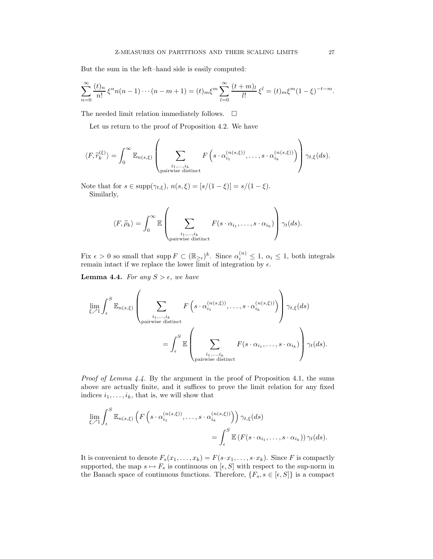But the sum in the left–hand side is easily computed:

$$
\sum_{n=0}^{\infty} \frac{(t)_n}{n!} \xi^n n(n-1)\cdots(n-m+1) = (t)_m \xi^m \sum_{l=0}^{\infty} \frac{(t+m)_l}{l!} \xi^l = (t)_m \xi^m (1-\xi)^{-t-m}.
$$

The needed limit relation immediately follows.  $\Box$ 

Let us return to the proof of Proposition 4.2. We have

$$
\langle F, \widetilde{r}_{k}^{(\xi)} \rangle = \int_{0}^{\infty} \mathbb{E}_{n(s,\xi)} \left( \sum_{\substack{i_1,\ldots,i_k \\ \text{pairwise distinct}}} F\left(s \cdot \alpha_{i_1}^{(n(s,\xi))}, \ldots, s \cdot \alpha_{i_k}^{(n(s,\xi))}\right) \right) \gamma_{t,\xi}(ds).
$$

Note that for  $s \in \text{supp}(\gamma_{t, \xi}),$   $n(s, \xi) = [s/(1-\xi)] = s/(1-\xi).$ Similarly,

$$
\langle F, \widetilde{\rho}_k \rangle = \int_0^\infty \mathbb{E} \left( \sum_{\substack{i_1, \dots, i_k \\ \text{pairwise distinct}}} F(s \cdot \alpha_{i_1}, \dots, s \cdot \alpha_{i_k}) \right) \gamma_t(ds).
$$

Fix  $\epsilon > 0$  so small that supp  $F \subset (\mathbb{R}_{\geq \epsilon})^k$ . Since  $\alpha_i^{(n)} \leq 1$ ,  $\alpha_i \leq 1$ , both integrals remain intact if we replace the lower limit of integration by  $\epsilon$ .

**Lemma 4.4.** For any  $S > \epsilon$ , we have

$$
\lim_{\xi \nearrow 1} \int_{\epsilon}^{S} \mathbb{E}_{n(s,\xi)} \left( \sum_{\substack{i_1,\ldots,i_k \\ \text{pairwise distinct}}} F\left(s \cdot \alpha_{i_1}^{(n(s,\xi))},\ldots,s \cdot \alpha_{i_k}^{(n(s,\xi))}\right) \right) \gamma_{t,\xi}(ds)
$$
\n
$$
= \int_{\epsilon}^{S} \mathbb{E} \left( \sum_{\substack{i_1,\ldots,i_k \\ \text{pairwise distinct}} } F(s \cdot \alpha_{i_1},\ldots,s \cdot \alpha_{i_k}) \right) \gamma_t(ds).
$$

Proof of Lemma 4.4. By the argument in the proof of Proposition 4.1, the sums above are actually finite, and it suffices to prove the limit relation for any fixed indices  $i_1, \ldots, i_k$ , that is, we will show that

$$
\lim_{\xi \nearrow 1} \int_{\epsilon}^{S} \mathbb{E}_{n(s,\xi)} \left( F \left( s \cdot \alpha_{i_1}^{(n(s,\xi))}, \dots, s \cdot \alpha_{i_k}^{(n(s,\xi))} \right) \right) \gamma_{t,\xi}(ds)
$$

$$
= \int_{\epsilon}^{S} \mathbb{E} \left( F \left( s \cdot \alpha_{i_1}, \dots, s \cdot \alpha_{i_k} \right) \right) \gamma_t(ds).
$$

It is convenient to denote  $F_s(x_1, \ldots, x_k) = F(s \cdot x_1, \ldots, s \cdot x_k)$ . Since F is compactly supported, the map  $s \mapsto F_s$  is continuous on  $[\epsilon, S]$  with respect to the sup-norm in the Banach space of continuous functions. Therefore,  $\{F_s, s \in [\epsilon, S]\}$  is a compact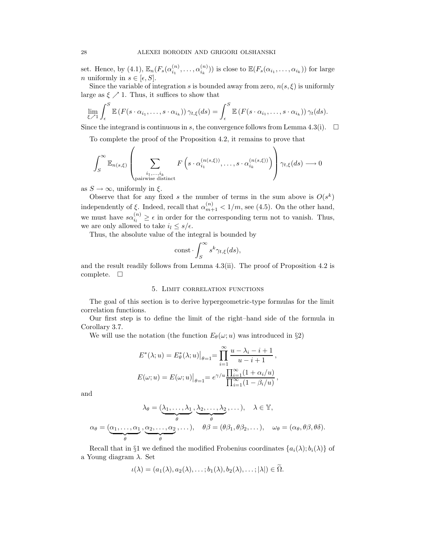set. Hence, by (4.1),  $\mathbb{E}_n(F_s(\alpha_{i_1}^{(n)}))$  $\alpha_{i_1}^{(n)},\ldots,\alpha_{i_k}^{(n)}$  $\binom{n}{i_k}$ ) is close to  $\mathbb{E}(F_s(\alpha_{i_1},\ldots,\alpha_{i_k}))$  for large *n* uniformly in  $s \in [\epsilon, S]$ .

Since the variable of integration s is bounded away from zero,  $n(s, \xi)$  is uniformly large as  $\xi \nearrow 1$ . Thus, it suffices to show that

$$
\lim_{\xi \nearrow 1} \int_{\epsilon}^{S} \mathbb{E} \left( F(s \cdot \alpha_{i_1}, \dots, s \cdot \alpha_{i_k}) \right) \gamma_{t,\xi}(ds) = \int_{\epsilon}^{S} \mathbb{E} \left( F(s \cdot \alpha_{i_1}, \dots, s \cdot \alpha_{i_k}) \right) \gamma_t(ds).
$$

Since the integrand is continuous in s, the convergence follows from Lemma 4.3(i).  $\Box$ 

To complete the proof of the Proposition 4.2, it remains to prove that

$$
\int_{S}^{\infty} \mathbb{E}_{n(s,\xi)} \left( \sum_{\substack{i_1,\ldots,i_k \\ \text{pairwise distinct}}} F\left(s \cdot \alpha_{i_1}^{(n(s,\xi))},\ldots,s \cdot \alpha_{i_k}^{(n(s,\xi))}\right) \right) \gamma_{t,\xi}(ds) \longrightarrow 0
$$

as  $S \to \infty$ , uniformly in  $\xi$ .

Observe that for any fixed s the number of terms in the sum above is  $O(s^k)$ independently of  $\xi$ . Indeed, recall that  $\alpha_{m+1}^{(n)} < 1/m$ , see (4.5). On the other hand, we must have  $s\alpha_{i_l}^{(n)} \geq \epsilon$  in order for the corresponding term not to vanish. Thus, we are only allowed to take  $i_l \leq s/\epsilon$ .

Thus, the absolute value of the integral is bounded by

$$
const \cdot \int_{S}^{\infty} s^{k} \gamma_{t,\xi}(ds),
$$

and the result readily follows from Lemma 4.3(ii). The proof of Proposition 4.2 is complete.  $\square$ 

#### 5. Limit correlation functions

The goal of this section is to derive hypergeometric-type formulas for the limit correlation functions.

Our first step is to define the limit of the right–hand side of the formula in Corollary 3.7.

We will use the notation (the function  $E_{\theta}(\omega; u)$  was introduced in §2)

$$
E^*(\lambda; u) = E^*_{\theta}(\lambda; u)|_{\theta=1} = \prod_{i=1}^{\infty} \frac{u - \lambda_i - i + 1}{u - i + 1},
$$
  

$$
E(\omega; u) = E(\omega; u)|_{\theta=1} = e^{\gamma/u} \frac{\prod_{i=1}^{\infty} (1 + \alpha_i/u)}{\prod_{i=1}^{\infty} (1 - \beta_i/u)},
$$

and

$$
\lambda_{\theta} = (\underbrace{\lambda_1, \dots, \lambda_1}_{\theta}, \underbrace{\lambda_2, \dots, \lambda_2}_{\theta}, \dots), \quad \lambda \in \mathbb{Y},
$$

$$
\alpha_{\theta} = (\underbrace{\alpha_1, \dots, \alpha_1}_{\theta}, \underbrace{\alpha_2, \dots, \alpha_2}_{\theta}, \dots), \quad \theta\beta = (\theta\beta_1, \theta\beta_2, \dots), \quad \omega_{\theta} = (\alpha_{\theta}, \theta\beta, \theta\delta).
$$

Recall that in §1 we defined the modified Frobenius coordinates  $\{a_i(\lambda); b_i(\lambda)\}\$  of a Young diagram  $\lambda$ . Set

$$
\iota(\lambda)=(a_1(\lambda),a_2(\lambda),\ldots;b_1(\lambda),b_2(\lambda),\ldots;|\lambda|)\in\Omega.
$$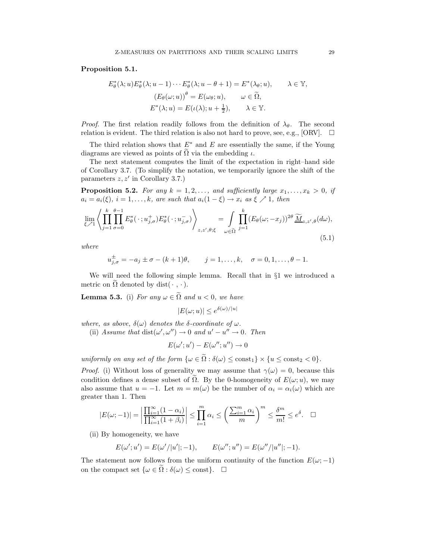Proposition 5.1.

$$
E_{\theta}^{*}(\lambda; u) E_{\theta}^{*}(\lambda; u - 1) \cdots E_{\theta}^{*}(\lambda; u - \theta + 1) = E^{*}(\lambda_{\theta}; u), \qquad \lambda \in \mathbb{Y},
$$

$$
(E_{\theta}(\omega; u))^{\theta} = E(\omega_{\theta}; u), \qquad \omega \in \widetilde{\Omega},
$$

$$
E^{*}(\lambda; u) = E(\iota(\lambda); u + \frac{1}{2}), \qquad \lambda \in \mathbb{Y}.
$$

*Proof.* The first relation readily follows from the definition of  $\lambda_{\theta}$ . The second relation is evident. The third relation is also not hard to prove, see, e.g., [ORV].  $\Box$ 

The third relation shows that  $E^*$  and E are essentially the same, if the Young diagrams are viewed as points of  $\tilde{\Omega}$  via the embedding  $\iota$ .

The next statement computes the limit of the expectation in right–hand side of Corollary 3.7. (To simplify the notation, we temporarily ignore the shift of the parameters  $z, z'$  in Corollary 3.7.)

**Proposition 5.2.** For any  $k = 1, 2, \ldots$ , and sufficiently large  $x_1, \ldots, x_k > 0$ , if  $a_i = a_i(\xi), i = 1, \ldots, k$ , are such that  $a_i(1 - \xi) \rightarrow x_i$  as  $\xi \nearrow 1$ , then

$$
\lim_{\xi \nearrow 1} \left\langle \prod_{j=1}^k \prod_{\sigma=0}^{\theta-1} E^*_{\theta}(\cdot; u^+_{j,\sigma}) E^*_{\theta}(\cdot; u^-_{j,\sigma}) \right\rangle_{z, z', \theta; \xi} = \int_{\omega \in \tilde{\Omega}} \prod_{j=1}^k (E_{\theta}(\omega; -x_j))^{2\theta} \underbrace{\widetilde{M}}_{z, z', \theta} (d\omega),
$$
\n(5.1)

where

$$
u_{j,\sigma}^{\pm} = -a_j \pm \sigma - (k+1)\theta
$$
,  $j = 1,...,k$ ,  $\sigma = 0, 1,..., \theta - 1$ .

We will need the following simple lemma. Recall that in §1 we introduced a metric on  $\Omega$  denoted by dist( $\cdot$ ,  $\cdot$ ).

**Lemma 5.3.** (i) For any  $\omega \in \tilde{\Omega}$  and  $u < 0$ , we have

 $|E(\omega; u)| \leq e^{\delta(\omega)/|u|}$ 

where, as above,  $\delta(\omega)$  denotes the  $\delta$ -coordinate of  $\omega$ .

(ii) Assume that  $dist(\omega', \omega'') \to 0$  and  $u' - u'' \to 0$ . Then

$$
E(\omega'; u') - E(\omega''; u'') \to 0
$$

uniformly on any set of the form  $\{\omega \in \tilde{\Omega} : \delta(\omega) \leq \text{const}_1\} \times \{u \leq \text{const}_2 < 0\}.$ 

*Proof.* (i) Without loss of generality we may assume that  $\gamma(\omega) = 0$ , because this condition defines a dense subset of  $\tilde{\Omega}$ . By the 0-homogeneity of  $E(\omega; u)$ , we may also assume that  $u = -1$ . Let  $m = m(\omega)$  be the number of  $\alpha_i = \alpha_i(\omega)$  which are greater than 1. Then

$$
|E(\omega; -1)| = \left| \frac{\prod_{i=1}^{\infty} (1 - \alpha_i)}{\prod_{i=1}^{\infty} (1 + \beta_i)} \right| \le \prod_{i=1}^{m} \alpha_i \le \left( \frac{\sum_{i=1}^{m} \alpha_i}{m} \right)^m \le \frac{\delta^m}{m!} \le e^{\delta}. \quad \Box
$$

(ii) By homogeneity, we have

$$
E(\omega'; u') = E(\omega'/|u'|; -1),
$$
  $E(\omega''; u'') = E(\omega''/|u''|; -1).$ 

The statement now follows from the uniform continuity of the function  $E(\omega; -1)$ on the compact set  $\{\omega \in \Omega : \delta(\omega) \leq \text{const}\}.$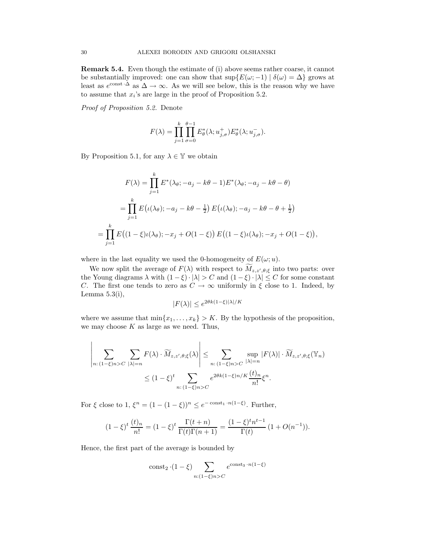Remark 5.4. Even though the estimate of (i) above seems rather coarse, it cannot be substantially improved: one can show that  $\sup\{E(\omega; -1) | \delta(\omega) = \Delta\}$  grows at least as  $e^{\text{const}\cdot\Delta}$  as  $\Delta \to \infty$ . As we will see below, this is the reason why we have to assume that  $x_i$ 's are large in the proof of Proposition 5.2.

Proof of Proposition 5.2. Denote

$$
F(\lambda) = \prod_{j=1}^k \prod_{\sigma=0}^{\theta-1} E^*_{\theta}(\lambda; u^+_{j,\sigma}) E^*_{\theta}(\lambda; u^-_{j,\sigma}).
$$

By Proposition 5.1, for any  $\lambda \in \mathbb{Y}$  we obtain

$$
F(\lambda) = \prod_{j=1}^{k} E^*(\lambda_{\theta}; -a_j - k\theta - 1) E^*(\lambda_{\theta}; -a_j - k\theta - \theta)
$$
  
= 
$$
\prod_{j=1}^{k} E(\iota(\lambda_{\theta}); -a_j - k\theta - \frac{1}{2}) E(\iota(\lambda_{\theta}); -a_j - k\theta - \theta + \frac{1}{2})
$$
  
= 
$$
\prod_{j=1}^{k} E((1-\xi)\iota(\lambda_{\theta}); -x_j + O(1-\xi)) E((1-\xi)\iota(\lambda_{\theta}); -x_j + O(1-\xi)),
$$

where in the last equality we used the 0-homogeneity of  $E(\omega; u)$ .

We now split the average of  $F(\lambda)$  with respect to  $M_{z,z',\theta,\xi}$  into two parts: over the Young diagrams  $\lambda$  with  $(1 - \xi) \cdot |\lambda| > C$  and  $(1 - \xi) \cdot |\lambda| \leq C$  for some constant C. The first one tends to zero as  $C \to \infty$  uniformly in  $\xi$  close to 1. Indeed, by Lemma  $5.3(i)$ ,

$$
|F(\lambda)| \le e^{2\theta k(1-\xi)|\lambda|/K}
$$

where we assume that  $\min\{x_1, \ldots, x_k\} > K$ . By the hypothesis of the proposition, we may choose  $K$  as large as we need. Thus,

$$
\left| \sum_{n:(1-\xi)n>C} \sum_{|\lambda|=n} F(\lambda) \cdot \widetilde{M}_{z,z',\theta;\xi}(\lambda) \right| \leq \sum_{n:(1-\xi)n>C} \sup_{|\lambda|=n} |F(\lambda)| \cdot \widetilde{M}_{z,z',\theta;\xi}(\mathbb{Y}_n)
$$

$$
\leq (1-\xi)^t \sum_{n:(1-\xi)n>C} e^{2\theta k(1-\xi)n/K} \frac{(t)_n}{n!} \xi^n.
$$

For  $\xi$  close to  $1, \xi^n = (1 - (1 - \xi))^n \leq e^{-\text{const}_1 \cdot n(1 - \xi)}$ . Further,

$$
(1 - \xi)^t \frac{(t)_n}{n!} = (1 - \xi)^t \frac{\Gamma(t + n)}{\Gamma(t)\Gamma(n + 1)} = \frac{(1 - \xi)^t n^{t-1}}{\Gamma(t)} (1 + O(n^{-1})).
$$

Hence, the first part of the average is bounded by

$$
\operatorname{const}_2 \cdot (1 - \xi) \sum_{n: (1 - \xi)n > C} e^{\operatorname{const}_3 \cdot n(1 - \xi)}
$$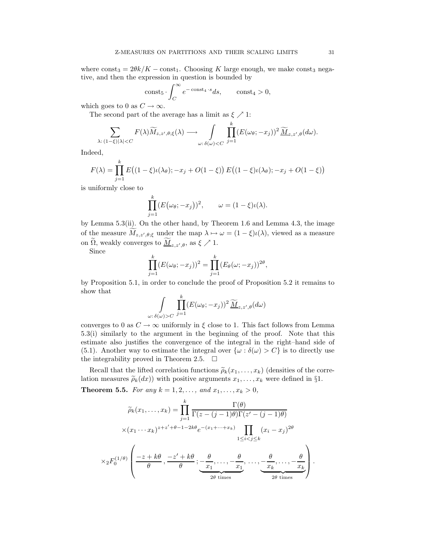where  $const_3 = 2\theta k/K - const_1$ . Choosing K large enough, we make const<sub>3</sub> negative, and then the expression in question is bounded by

$$
const_5 \cdot \int_C^{\infty} e^{-\cosh_4 \cdot s} ds, \quad \text{const}_4 > 0,
$$

which goes to 0 as  $C \rightarrow \infty$ .

The second part of the average has a limit as  $\xi \nearrow 1$ :

$$
\sum_{\lambda:\ (1-\xi)|\lambda|
$$

Indeed,

$$
F(\lambda) = \prod_{j=1}^{k} E((1 - \xi)\iota(\lambda_{\theta}); -x_j + O(1 - \xi)) E((1 - \xi)\iota(\lambda_{\theta}); -x_j + O(1 - \xi))
$$

is uniformly close to

$$
\prod_{j=1}^k (E(\omega_\theta; -x_j))^2, \qquad \omega = (1 - \xi)\iota(\lambda).
$$

by Lemma 5.3(ii). On the other hand, by Theorem 1.6 and Lemma 4.3, the image of the measure  $M_{z,z',\theta;\xi}$  under the map  $\lambda \mapsto \omega = (1-\xi)\iota(\lambda)$ , viewed as a measure on  $\Omega$ , weakly converges to  $\underline{M}_{z,z',\theta}$ , as  $\xi \nearrow 1$ .

Since

$$
\prod_{j=1}^k (E(\omega_\theta; -x_j))^2 = \prod_{j=1}^k (E_\theta(\omega; -x_j))^{2\theta},
$$

by Proposition 5.1, in order to conclude the proof of Proposition 5.2 it remains to show that

$$
\int_{\omega:\,\delta(\omega)>C} \prod_{j=1}^k (E(\omega_\theta;-x_j))^2 \, \widetilde{\underline{M}}_{z,z',\theta}(d\omega)
$$

converges to 0 as  $C \to \infty$  uniformly in  $\xi$  close to 1. This fact follows from Lemma 5.3(i) similarly to the argument in the beginning of the proof. Note that this estimate also justifies the convergence of the integral in the right–hand side of (5.1). Another way to estimate the integral over  $\{\omega : \delta(\omega) > C\}$  is to directly use the integrability proved in Theorem 2.5.  $\Box$ 

Recall that the lifted correlation functions  $\tilde{\rho}_k(x_1, \ldots, x_k)$  (densities of the correlation measures  $\tilde{\rho}_k(dx)$  with positive arguments  $x_1, \ldots, x_k$  were defined in §1.

**Theorem 5.5.** For any  $k = 1, 2, ...,$  and  $x_1, ..., x_k > 0$ ,

$$
\widetilde{\rho}_k(x_1,\ldots,x_k) = \prod_{j=1}^k \frac{\Gamma(\theta)}{\Gamma(z-(j-1)\theta)\Gamma(z'-(j-1)\theta)}
$$
\n
$$
\times (x_1\cdots x_k)^{z+z'+\theta-1-2k\theta} e^{-(x_1+\cdots+x_k)} \prod_{1\leq i < j \leq k} (x_i - x_j)^{2\theta}
$$
\n
$$
\times {}_2F_0^{(1/\theta)}\left(\frac{-z+k\theta}{\theta}, \frac{-z'+k\theta}{\theta}; \underbrace{-\frac{\theta}{x_1},\ldots,-\frac{\theta}{x_1}}_{2\theta \text{ times}}, \ldots, -\frac{\theta}{x_k},\ldots, -\frac{\theta}{x_k}\right).
$$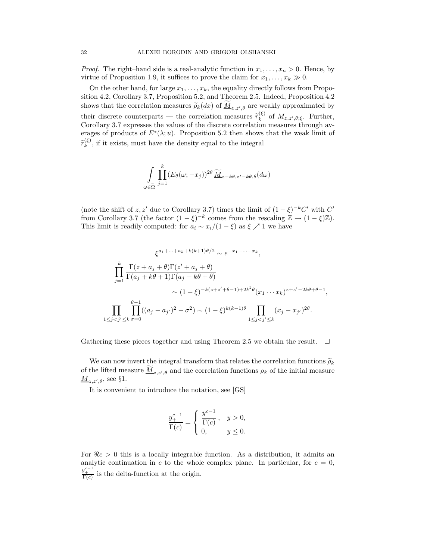*Proof.* The right–hand side is a real-analytic function in  $x_1, \ldots, x_n > 0$ . Hence, by virtue of Proposition 1.9, it suffices to prove the claim for  $x_1, \ldots, x_k \gg 0$ .

On the other hand, for large  $x_1, \ldots, x_k$ , the equality directly follows from Proposition 4.2, Corollary 3.7, Proposition 5.2, and Theorem 2.5. Indeed, Proposition 4.2 shows that the correlation measures  $\tilde{\rho}_k(dx)$  of  $\underline{M}_{z,z',\theta}$  are weakly approximated by their discrete counterparts — the correlation measures  $\tilde{r}_{k}^{(\xi)}$ <sup>(5)</sup> of  $M_{z,z',\theta;\xi}$ . Further, Corollary 3.7 expresses the values of the discrete correlation measures through averages of products of  $E^*(\lambda; u)$ . Proposition 5.2 then shows that the weak limit of  $\widetilde{r}_{k}^{(\xi)}$  $\binom{15}{k}$ , if it exists, must have the density equal to the integral

$$
\int_{\omega \in \tilde{\Omega}} \prod_{j=1}^{k} (E_{\theta}(\omega; -x_j))^{2\theta} \widetilde{\underline{M}}_{z-k\theta, z'-k\theta, \theta}(d\omega)
$$

(note the shift of z, z' due to Corollary 3.7) times the limit of  $(1 - \xi)^{-k}C'$  with  $C'$ from Corollary 3.7 (the factor  $(1 - \xi)^{-k}$  comes from the rescaling  $\mathbb{Z} \to (1 - \xi)\mathbb{Z}$ ). This limit is readily computed: for  $a_i \sim x_i/(1-\xi)$  as  $\xi \nearrow 1$  we have

$$
\xi^{a_1 + \dots + a_k + k(k+1)\theta/2} \sim e^{-x_1 - \dots - x_k},
$$
  

$$
\prod_{j=1}^k \frac{\Gamma(z + a_j + \theta)\Gamma(z' + a_j + \theta)}{\Gamma(a_j + k\theta + 1)\Gamma(a_j + k\theta + \theta)}
$$
  

$$
\sim (1 - \xi)^{-k(z + z' + \theta - 1) + 2k^2\theta} (x_1 \cdots x_k)^{z + z' - 2k\theta + \theta - 1},
$$
  

$$
\prod_{1 \le j < j' \le k} \prod_{\sigma=0}^{\theta - 1} ((a_j - a_{j'})^2 - \sigma^2) \sim (1 - \xi)^{k(k-1)\theta} \prod_{1 \le j < j' \le k} (x_j - x_{j'})^{2\theta}.
$$

Gathering these pieces together and using Theorem 2.5 we obtain the result.  $\Box$ 

We can now invert the integral transform that relates the correlation functions  $\tilde{\rho}_k$ of the lifted measure  $\underline{M}_{z,z',\theta}$  and the correlation functions  $\rho_k$  of the initial measure  $\underline{M}_{z,z',\theta}$ , see §1.

It is convenient to introduce the notation, see [GS]

$$
\frac{y_+^{c-1}}{\Gamma(c)} = \begin{cases} \frac{y^{c-1}}{\Gamma(c)}, & y > 0, \\ 0, & y \le 0. \end{cases}
$$

For  $\Re c > 0$  this is a locally integrable function. As a distribution, it admits an analytic continuation in c to the whole complex plane. In particular, for  $c = 0$ ,  $y_{\perp}^{e^{-1}}$  is the delta-function at the origin.

 $1$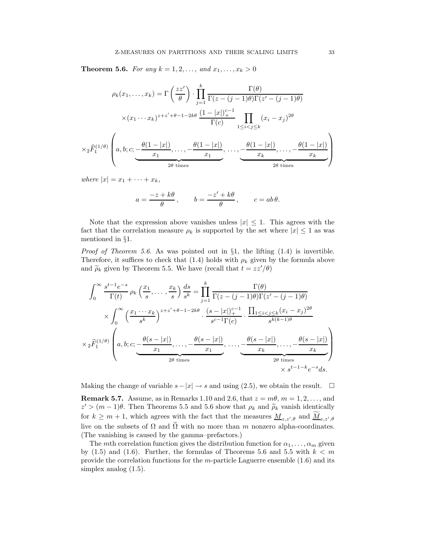**Theorem 5.6.** For any  $k = 1, 2, ...,$  and  $x_1, ..., x_k > 0$ 

$$
\rho_k(x_1, \dots, x_k) = \Gamma\left(\frac{zz'}{\theta}\right) \cdot \prod_{j=1}^k \frac{\Gamma(\theta)}{\Gamma(z - (j-1)\theta)\Gamma(z' - (j-1)\theta)}
$$

$$
\times (x_1 \cdots x_k)^{z+z'+\theta-1-2k\theta} \frac{(1-|x|)^{c-1}}{\Gamma(c)} \prod_{1 \le i < j \le k} (x_i - x_j)^{2\theta}
$$

$$
\times {}_2\widehat{F}_1^{(1/\theta)}\left(a, b; c; \underbrace{-\frac{\theta(1-|x|)}{x_1}, \dots, -\frac{\theta(1-|x|)}{x_1}, \dots, -\frac{\theta(1-|x|)}{x_k}, \dots, -\frac{\theta(1-|x|)}{x_k}}_{2\theta \text{ times}}\right)
$$

where  $|x| = x_1 + \cdots + x_k$ ,

$$
a = \frac{-z + k\theta}{\theta}
$$
,  $b = \frac{-z' + k\theta}{\theta}$ ,  $c = ab\theta$ .

Note that the expression above vanishes unless  $|x| \leq 1$ . This agrees with the fact that the correlation measure  $\rho_k$  is supported by the set where  $|x| \leq 1$  as was mentioned in §1.

*Proof of Theorem 5.6.* As was pointed out in  $\S1$ , the lifting (1.4) is invertible. Therefore, it suffices to check that (1.4) holds with  $\rho_k$  given by the formula above and  $\tilde{\rho}_k$  given by Theorem 5.5. We have (recall that  $t = zz'/\theta$ )

$$
\int_0^\infty \frac{s^{t-1}e^{-s}}{\Gamma(t)} \rho_k\left(\frac{x_1}{s},\ldots,\frac{x_k}{s}\right) \frac{ds}{s^k} = \prod_{j=1}^k \frac{\Gamma(\theta)}{\Gamma(z-(j-1)\theta)\Gamma(z'-(j-1)\theta)}
$$

$$
\times \int_0^\infty \left(\frac{x_1\cdots x_k}{s^k}\right)^{z+z'+\theta-1-2k\theta} \cdot \frac{(s-|x|)^{c-1}}{s^{c-1}\Gamma(c)} \cdot \frac{\prod_{1\leq i < j \leq k} (x_i - x_j)^{2\theta}}{s^{k(k-1)\theta}}
$$

$$
\times {}_2\widehat{F}_1^{(1/\theta)}\left(a,b;c; -\frac{\theta(s-|x|)}{x_1},\ldots, -\frac{\theta(s-|x|)}{x_1},\ldots, -\frac{\theta(s-|x|)}{x_k},\ldots, -\frac{\theta(s-|x|)}{x_k}\right)
$$

$$
\times {}_2\theta \text{ times}
$$

$$
\times {}_3t^{-1-k}e^{-s}ds.
$$

Making the change of variable  $s-|x| \to s$  and using (2.5), we obtain the result.  $\square$ 

**Remark 5.7.** Assume, as in Remarks 1.10 and 2.6, that  $z = m\theta$ ,  $m = 1, 2, \ldots$ , and  $z' > (m-1)\theta$ . Then Theorems 5.5 and 5.6 show that  $\rho_k$  and  $\tilde{\rho}_k$  vanish identically for  $k \geq m+1$ , which agrees with the fact that the measures  $\underline{M}_{z,z',\theta}$  and  $\underline{M}_{z,z',\theta}$ live on the subsets of  $\Omega$  and  $\tilde{\Omega}$  with no more than m nonzero alpha-coordinates. (The vanishing is caused by the gamma–prefactors.)

The mth correlation function gives the distribution function for  $\alpha_1, \ldots, \alpha_m$  given by  $(1.5)$  and  $(1.6)$ . Further, the formulas of Theorems 5.6 and 5.5 with  $k < m$ provide the correlation functions for the  $m$ -particle Laguerre ensemble  $(1.6)$  and its simplex analog (1.5).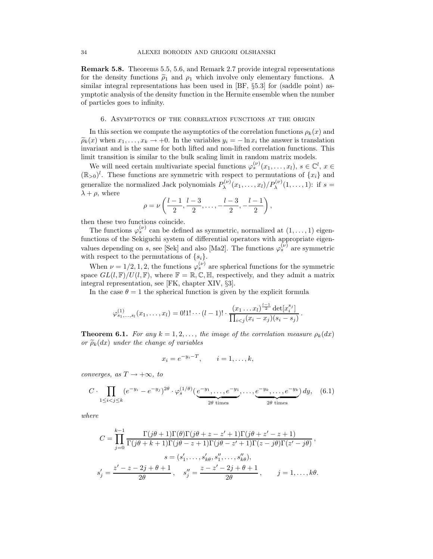Remark 5.8. Theorems 5.5, 5.6, and Remark 2.7 provide integral representations for the density functions  $\tilde{\rho}_1$  and  $\rho_1$  which involve only elementary functions. A similar integral representations has been used in [BF, §5.3] for (saddle point) asymptotic analysis of the density function in the Hermite ensemble when the number of particles goes to infinity.

#### 6. Asymptotics of the correlation functions at the origin

In this section we compute the asymptotics of the correlation functions  $\rho_k(x)$  and  $\widetilde{\rho}_k(x)$  when  $x_1, \ldots, x_k \to +0$ . In the variables  $y_i = -\ln x_i$  the answer is translation invariant and is the same for both lifted and non-lifted correlation functions. This limit transition is similar to the bulk scaling limit in random matrix models.

We will need certain multivariate special functions  $\varphi_s^{(\nu)}(x_1,\ldots,x_l), s \in \mathbb{C}^l, x \in$  $(\mathbb{R}_{>0})^l$ . These functions are symmetric with respect to permutations of  $\{x_i\}$  and generalize the normalized Jack polynomials  $P_{\lambda}^{(\nu)}$  $\lambda^{(\nu)}(x_1,\ldots,x_l)/P_{\lambda}^{(\nu)}(1,\ldots,1)$ : if  $s=$  $\lambda + \rho$ , where

$$
\rho = \nu \left( \frac{l-1}{2}, \frac{l-3}{2}, \dots, -\frac{l-3}{2}, -\frac{l-1}{2} \right),
$$

then these two functions coincide.

The functions  $\varphi_s^{(\nu)}$  can be defined as symmetric, normalized at  $(1,\ldots,1)$  eigenfunctions of the Sekiguchi system of differential operators with appropriate eigenvalues depending on s, see [Sek] and also [Ma2]. The functions  $\varphi_s^{(\nu)}$  are symmetric with respect to the permutations of  $\{s_i\}$ .

When  $\nu = 1/2, 1, 2$ , the functions  $\varphi_s^{(\nu)}$  are spherical functions for the symmetric space  $GL(l, \mathbb{F})/U(l, \mathbb{F})$ , where  $\mathbb{F} = \mathbb{R}, \mathbb{C}, \mathbb{H}$ , respectively, and they admit a matrix integral representation, see [FK, chapter XIV, §3].

In the case  $\theta = 1$  the spherical function is given by the explicit formula

$$
\varphi_{s_1,\ldots,s_l}^{(1)}(x_1,\ldots,x_l)=0!1!\cdots(l-1)!\cdot\frac{(x_1\ldots x_l)^{\frac{l-1}{2}}\det[x_i^{s_j}]}{\prod_{i
$$

**Theorem 6.1.** For any  $k = 1, 2, \ldots$ , the image of the correlation measure  $\rho_k(dx)$ or  $\widetilde{\rho}_k(dx)$  under the change of variables

$$
x_i = e^{-y_i - T}, \qquad i = 1, \dots, k,
$$

converges, as  $T \rightarrow +\infty$ , to

$$
C \cdot \prod_{1 \leq i < j \leq k} (e^{-y_i} - e^{-y_j})^{2\theta} \cdot \varphi_s^{(1/\theta)}\left(\underbrace{e^{-y_1}, \dots, e^{-y_1}}_{2\theta \text{ times}}, \dots, \underbrace{e^{-y_k}, \dots, e^{-y_k}}_{2\theta \text{ times}}\right) dy, \quad (6.1)
$$

where

$$
C = \prod_{j=0}^{k-1} \frac{\Gamma(j\theta+1)\Gamma(\theta)\Gamma(j\theta+z-z'+1)\Gamma(j\theta+z'-z+1)}{\Gamma(j\theta+k+1)\Gamma(j\theta-z+1)\Gamma(j\theta-z'+1)\Gamma(z-j\theta)\Gamma(z'-j\theta)},
$$
  
\n
$$
s = (s'_1, \ldots, s'_{k\theta}, s''_1, \ldots, s''_{k\theta}),
$$
  
\n
$$
s'_j = \frac{z'-z-2j+\theta+1}{2\theta}, \quad s''_j = \frac{z-z'-2j+\theta+1}{2\theta}, \quad j = 1, \ldots, k\theta.
$$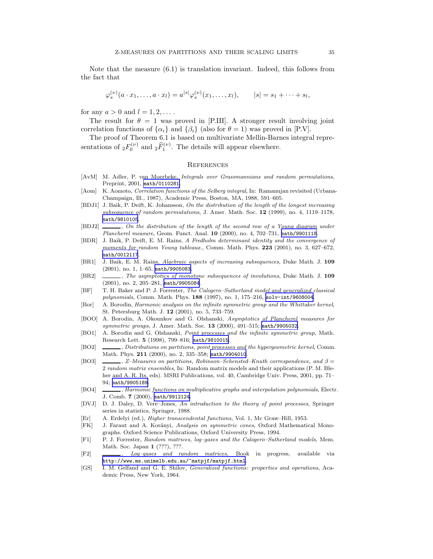Note that the measure (6.1) is translation invariant. Indeed, this follows from the fact that

$$
\varphi_s^{(\nu)}(a \cdot x_1, \dots, a \cdot x_l) = a^{|s|} \varphi_s^{(\nu)}(x_1, \dots, x_l), \qquad |s| = s_1 + \dots + s_l,
$$

for any  $a > 0$  and  $l = 1, 2, \ldots$ .

The result for  $\theta = 1$  was proved in [P.III]. A stronger result involving joint correlation functions of  $\{\alpha_i\}$  and  $\{\beta_i\}$  (also for  $\theta = 1$ ) was proved in [P.V].

The proof of Theorem 6.1 is based on multivariate Mellin-Barnes integral representations of  ${}_2F_0^{(\nu)}$  and  ${}_2\widehat{F}_1^{(\nu)}$ . The details will appear elsewhere.

#### **REFERENCES**

- [AvM] M. Adler, P. van Moerbeke, Integrals over Grassmannians and random permutations, Preprint, 2001, [math/0110281](http://arXiv.org/abs/math/0110281).
- [Aom] K. Aomoto, Correlation functions of the Selberg integral, In: Ramanujan revisited (Urbana-Champaign, Ill., 1987), Academic Press, Boston, MA, 1988, 591–605.
- [BDJ1] J. Baik, P. Deift, K. Johansson, On the distribution of the length of the longest increasing subsequence of random permutations, J. Amer. Math. Soc. 12 (1999), no. 4, 1119–1178, [math/9810105](http://arXiv.org/abs/math/9810105).
- [BDJ2]  $\ldots$ , On the distribution of the length of the second row of a Young diagram under Plancherel measure, Geom. Funct. Anal. 10 (2000), no. 4, 702–731, [math/9901118](http://arXiv.org/abs/math/9901118).
- [BDR] J. Baik, P. Deift, E. M. Rains, A Fredholm determinant identity and the convergence of moments for random Young tableaux., Comm. Math. Phys. 223 (2001), no. 3, 627–672, [math/0012117](http://arXiv.org/abs/math/0012117).
- [BR1] J. Baik, E. M. Rains, Algebraic aspects of increasing subsequences, Duke Math. J. 109 (2001), no. 1, 1–65, [math/9905083](http://arXiv.org/abs/math/9905083).
- [BR2] , The asymptotics of monotone subsequences of involutions, Duke Math. J. 109 (2001), no. 2, 205–281, [math/9905084](http://arXiv.org/abs/math/9905084).
- [BF] T. H. Baker and P. J. Forrester, The Calogero–Sutherland model and generalized classical polynomials, Comm. Math. Phys. 188 (1997), no. 1, 175–216, [solv-int/9608004](http://arXiv.org/abs/solv-int/9608004).
- [Bor] A. Borodin, Harmonic analysis on the infinite symmetric group and the Whittaker kernel, St. Petersburg Math. J. 12 (2001), no. 5, 733–759.
- [BOO] A. Borodin, A. Okounkov and G. Olshanski, Asymptotics of Plancherel measures for symmetric groups, J. Amer. Math. Soc. 13 (2000), 491-515; [math/9905032](http://arXiv.org/abs/math/9905032).
- [BO1] A. Borodin and G. Olshanski, *Point processes and the infinite symmetric group*, Math. Research Lett. 5 (1998), 799–816; [math/9810015](http://arXiv.org/abs/math/9810015).
- [BO2] , Distributions on partitions, point processes and the hypergeometric kernel, Comm. Math. Phys. 211 (2000), no. 2, 335–358; [math/9904010](http://arXiv.org/abs/math/9904010).
- [BO3]  $\_\_\_\_\$  Z–Measures on partitions, Robinson–Schensted–Knuth correspondence, and  $\beta =$ 2 random matrix ensembles, In: Random matrix models and their applications (P. M. Bleher and A. R. Its, eds). MSRI Publications, vol. 40, Cambridge Univ. Press, 2001, pp. 71– 94; [math/9905189](http://arXiv.org/abs/math/9905189).
- [BO4] , Harmonic functions on multiplicative graphs and interpolation polynomials, Electr. J. Comb. 7 (2000), [math/9912124](http://arXiv.org/abs/math/9912124).
- [DVJ] D. J. Daley, D. Vere–Jones, An introduction to the theory of point processes, Springer series in statistics, Springer, 1988.
- [Er] A. Erdelyi (ed.), *Higher transcendental functions*, Vol. 1, Mc Graw–Hill, 1953.
- [FK] J. Faraut and A. Korányi, Analysis on symmetric cones, Oxford Mathematical Monographs. Oxford Science Publications, Oxford University Press, 1994.
- [F1] P. J. Forrester, Random matrices, log–gases and the Calogero–Sutherland models, Mem. Math. Soc. Japan 1 (???), ???.
- [F2] , Log–gases and random matrices, Book in progress, available via <http://www.ms.unimelb.edu.au/~matpjf/matpjf.html>.
- [GS] I. M. Gelfand and G. E. Shilov, Generalized functions: properties and operations, Academic Press, New York, 1964.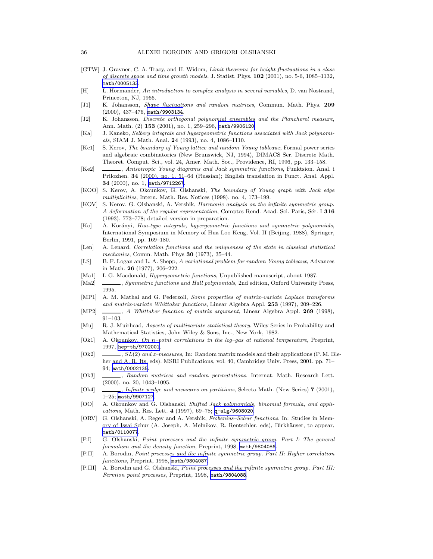- [GTW] J. Gravner, C. A. Tracy, and H. Widom, Limit theorems for height fluctuations in a class of discrete space and time growth models, J. Statist. Phys. 102 (2001), no. 5-6, 1085–1132, [math/0005133](http://arXiv.org/abs/math/0005133).
- $[H]$  L. Hörmander, An introduction to complex analysis in several variables, D. van Nostrand, Princeton, NJ, 1966.
- [J1] K. Johansson, Shape fluctuations and random matrices, Commun. Math. Phys. 209 (2000), 437–476, [math/9903134](http://arXiv.org/abs/math/9903134).
- [J2] K. Johansson, *Discrete orthogonal polynomial ensembles and the Plancherel measure*, Ann. Math. (2) 153 (2001), no. 1, 259–296, [math/9906120](http://arXiv.org/abs/math/9906120).
- [Ka] J. Kaneko, Selberg integrals and hypergeometric functions associated with Jack polynomials, SIAM J. Math. Anal. 24 (1993), no. 4, 1086–1110.
- [Ke1] S. Kerov, The boundary of Young lattice and random Young tableaux, Formal power series and algebraic combinatorics (New Brunswick, NJ, 1994), DIMACS Ser. Discrete Math. Theoret. Comput. Sci., vol. 24, Amer. Math. Soc., Providence, RI, 1996, pp. 133–158.
- [Ke2] , Anisotropic Young diagrams and Jack symmetric functions, Funktsion. Anal. i Prilozhen. 34 (2000), no. 1, 51–64 (Russian); English translation in Funct. Anal. Appl. 34 (2000), no. 1, [math/9712267](http://arXiv.org/abs/math/9712267).
- [KOO] S. Kerov, A. Okounkov, G. Olshanski, The boundary of Young graph with Jack edge multiplicities, Intern. Math. Res. Notices (1998), no. 4, 173–199.
- [KOV] S. Kerov, G. Olshanski, A. Vershik, Harmonic analysis on the infinite symmetric group. A deformation of the regular representation, Comptes Rend. Acad. Sci. Paris, Sér. I 316 (1993), 773–778; detailed version in preparation.
- [Ko] A. Korányi, Hua-type integrals, hypergeometric functions and symmetric polynomials, International Symposium in Memory of Hua Loo Keng, Vol. II (Beijing, 1988), Springer, Berlin, 1991, pp. 169–180.
- [Len] A. Lenard, Correlation functions and the uniqueness of the state in classical statistical mechanics, Comm. Math. Phys 30 (1973), 35–44.
- [LS] B. F. Logan and L. A. Shepp, A variational problem for random Young tableaux, Advances in Math. 26 (1977), 206–222.
- [Ma1] I. G. Macdonald, Hypergeometric functions, Unpublished manuscript, about 1987.
- [Ma2] , Symmetric functions and Hall polynomials, 2nd edition, Oxford University Press, 1995.
- [MP1] A. M. Mathai and G. Pederzoli, Some properties of matrix–variate Laplace transforms and matrix-variate Whittaker functions, Linear Algebra Appl. 253 (1997), 209–226.
- [MP2]  $\_\_\_\_\$ , A Whittaker function of matrix argument, Linear Algebra Appl. 269 (1998), 91–103.
- [Mu] R. J. Muirhead, Aspects of multivariate statistical theory, Wiley Series in Probability and Mathematical Statistics, John Wiley & Sons, Inc., New York, 1982.
- [Ok1] A. Okounkov, On n–point correlations in the log–gas at rational temperature, Preprint, 1997, [hep-th/9702001](http://arXiv.org/abs/hep-th/9702001).
- $[Ok2]$  ,  $SL(2)$  and z–measures, In: Random matrix models and their applications (P. M. Bleher and A. R. Its, eds). MSRI Publications, vol. 40, Cambridge Univ. Press, 2001, pp. 71– 94; [math/0002135](http://arXiv.org/abs/math/0002135).
- [Ok3] , Random matrices and random permutations, Internat. Math. Research Lett. (2000), no. 20, 1043–1095.
- [Ok4] , Infinite wedge and measures on partitions, Selecta Math. (New Series) 7 (2001), 1–25; [math/9907127](http://arXiv.org/abs/math/9907127).
- [OO] A. Okounkov and G. Olshanski, Shifted Jack polynomials, binomial formula, and applications, Math. Res. Lett. 4 (1997), 69–78; [q-alg/9608020](http://arXiv.org/abs/q-alg/9608020).
- [ORV] G. Olshanski, A. Regev and A. Vershik, Frobenius–Schur functions, In: Studies in Memory of Issai Schur (A. Joseph, A. Melnikov, R. Rentschler, eds), Birkh¨auser, to appear, [math/0110077](http://arXiv.org/abs/math/0110077).
- [P.I] G. Olshanski, Point processes and the infinite symmetric group. Part I: The general formalism and the density function, Preprint, 1998, [math/9804086](http://arXiv.org/abs/math/9804086).
- [P.II] A. Borodin, Point processes and the infinite symmetric group. Part II: Higher correlation functions, Preprint, 1998, [math/9804087](http://arXiv.org/abs/math/9804087).
- [P.III] A. Borodin and G. Olshanski, Point processes and the infinite symmetric group. Part III: Fermion point processes, Preprint, 1998, [math/9804088](http://arXiv.org/abs/math/9804088).